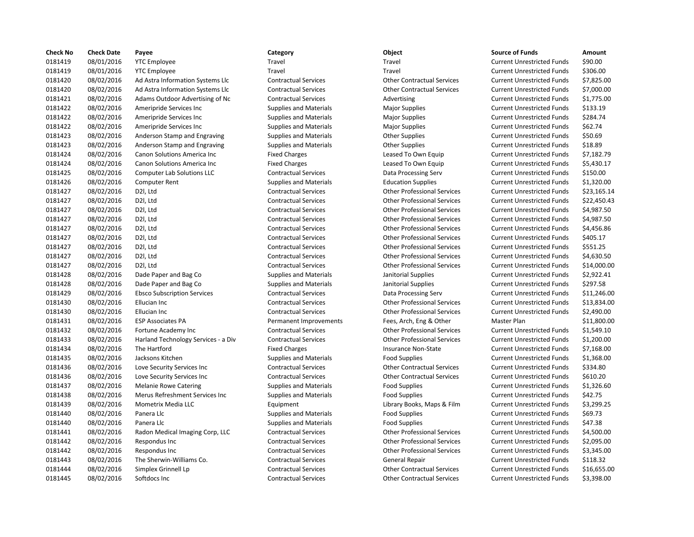| <b>Check No</b> | <b>Check Date</b> | Payee                               | Category                      | Object                             | <b>Source of Funds</b>            | Amount    |
|-----------------|-------------------|-------------------------------------|-------------------------------|------------------------------------|-----------------------------------|-----------|
| 0181419         | 08/01/2016        | <b>YTC Employee</b>                 | Travel                        | Travel                             | <b>Current Unrestricted Funds</b> | \$90.00   |
| 0181419         | 08/01/2016        | <b>YTC Employee</b>                 | Travel                        | Travel                             | <b>Current Unrestricted Funds</b> | \$306.00  |
| 0181420         | 08/02/2016        | Ad Astra Information Systems Llc    | <b>Contractual Services</b>   | <b>Other Contractual Services</b>  | <b>Current Unrestricted Funds</b> | \$7,825.0 |
| 0181420         | 08/02/2016        | Ad Astra Information Systems Llc    | <b>Contractual Services</b>   | <b>Other Contractual Services</b>  | <b>Current Unrestricted Funds</b> | \$7,000.0 |
| 0181421         | 08/02/2016        | Adams Outdoor Advertising of Nc     | <b>Contractual Services</b>   | Advertising                        | <b>Current Unrestricted Funds</b> | \$1,775.0 |
| 0181422         | 08/02/2016        | Ameripride Services Inc             | <b>Supplies and Materials</b> | <b>Major Supplies</b>              | <b>Current Unrestricted Funds</b> | \$133.19  |
| 0181422         | 08/02/2016        | Ameripride Services Inc             | <b>Supplies and Materials</b> | <b>Major Supplies</b>              | <b>Current Unrestricted Funds</b> | \$284.74  |
| 0181422         | 08/02/2016        | Ameripride Services Inc             | <b>Supplies and Materials</b> | <b>Major Supplies</b>              | <b>Current Unrestricted Funds</b> | \$62.74   |
| 0181423         | 08/02/2016        | Anderson Stamp and Engraving        | <b>Supplies and Materials</b> | <b>Other Supplies</b>              | <b>Current Unrestricted Funds</b> | \$50.69   |
| 0181423         | 08/02/2016        | Anderson Stamp and Engraving        | <b>Supplies and Materials</b> | <b>Other Supplies</b>              | <b>Current Unrestricted Funds</b> | \$18.89   |
| 0181424         | 08/02/2016        | Canon Solutions America Inc         | <b>Fixed Charges</b>          | Leased To Own Equip                | <b>Current Unrestricted Funds</b> | \$7,182.7 |
| 0181424         | 08/02/2016        | Canon Solutions America Inc         | <b>Fixed Charges</b>          | Leased To Own Equip                | <b>Current Unrestricted Funds</b> | \$5,430.1 |
| 0181425         | 08/02/2016        | <b>Computer Lab Solutions LLC</b>   | <b>Contractual Services</b>   | Data Processing Serv               | <b>Current Unrestricted Funds</b> | \$150.00  |
| 0181426         | 08/02/2016        | Computer Rent                       | <b>Supplies and Materials</b> | <b>Education Supplies</b>          | <b>Current Unrestricted Funds</b> | \$1,320.0 |
| 0181427         | 08/02/2016        | D2I, Ltd                            | <b>Contractual Services</b>   | <b>Other Professional Services</b> | <b>Current Unrestricted Funds</b> | \$23,165  |
| 0181427         | 08/02/2016        | D2I, Ltd                            | <b>Contractual Services</b>   | <b>Other Professional Services</b> | <b>Current Unrestricted Funds</b> | \$22,450  |
| 0181427         | 08/02/2016        | D2I, Ltd                            | <b>Contractual Services</b>   | <b>Other Professional Services</b> | <b>Current Unrestricted Funds</b> | \$4,987.5 |
| 0181427         | 08/02/2016        | D2I, Ltd                            | <b>Contractual Services</b>   | <b>Other Professional Services</b> | <b>Current Unrestricted Funds</b> | \$4,987.5 |
| 0181427         | 08/02/2016        | D2I, Ltd                            | <b>Contractual Services</b>   | <b>Other Professional Services</b> | <b>Current Unrestricted Funds</b> | \$4,456.8 |
| 0181427         | 08/02/2016        | D2I, Ltd                            | <b>Contractual Services</b>   | <b>Other Professional Services</b> | <b>Current Unrestricted Funds</b> | \$405.17  |
| 0181427         | 08/02/2016        | D2I, Ltd                            | <b>Contractual Services</b>   | <b>Other Professional Services</b> | <b>Current Unrestricted Funds</b> | \$551.25  |
| 0181427         | 08/02/2016        | D2I, Ltd                            | <b>Contractual Services</b>   | <b>Other Professional Services</b> | <b>Current Unrestricted Funds</b> | \$4,630.5 |
| 0181427         | 08/02/2016        | D2I, Ltd                            | <b>Contractual Services</b>   | <b>Other Professional Services</b> | <b>Current Unrestricted Funds</b> | \$14,000  |
| 0181428         | 08/02/2016        | Dade Paper and Bag Co               | <b>Supplies and Materials</b> | Janitorial Supplies                | <b>Current Unrestricted Funds</b> | \$2,922.4 |
| 0181428         | 08/02/2016        | Dade Paper and Bag Co               | <b>Supplies and Materials</b> | Janitorial Supplies                | <b>Current Unrestricted Funds</b> | \$297.58  |
| 0181429         | 08/02/2016        | <b>Ebsco Subscription Services</b>  | <b>Contractual Services</b>   | Data Processing Serv               | <b>Current Unrestricted Funds</b> | \$11,246  |
| 0181430         | 08/02/2016        | Ellucian Inc                        | <b>Contractual Services</b>   | <b>Other Professional Services</b> | <b>Current Unrestricted Funds</b> | \$13,834  |
| 0181430         | 08/02/2016        | Ellucian Inc                        | <b>Contractual Services</b>   | <b>Other Professional Services</b> | <b>Current Unrestricted Funds</b> | \$2,490.0 |
| 0181431         | 08/02/2016        | <b>ESP Associates PA</b>            | Permanent Improvements        | Fees, Arch, Eng & Other            | Master Plan                       | \$11,800  |
| 0181432         | 08/02/2016        | Fortune Academy Inc                 | <b>Contractual Services</b>   | <b>Other Professional Services</b> | <b>Current Unrestricted Funds</b> | \$1,549.1 |
| 0181433         | 08/02/2016        | Harland Technology Services - a Div | <b>Contractual Services</b>   | <b>Other Professional Services</b> | <b>Current Unrestricted Funds</b> | \$1,200.0 |
| 0181434         | 08/02/2016        | The Hartford                        | <b>Fixed Charges</b>          | <b>Insurance Non-State</b>         | <b>Current Unrestricted Funds</b> | \$7,168.0 |
| 0181435         | 08/02/2016        | Jacksons Kitchen                    | <b>Supplies and Materials</b> | <b>Food Supplies</b>               | <b>Current Unrestricted Funds</b> | \$1,368.0 |
| 0181436         | 08/02/2016        | Love Security Services Inc          | <b>Contractual Services</b>   | <b>Other Contractual Services</b>  | <b>Current Unrestricted Funds</b> | \$334.80  |
| 0181436         | 08/02/2016        | Love Security Services Inc          | <b>Contractual Services</b>   | <b>Other Contractual Services</b>  | <b>Current Unrestricted Funds</b> | \$610.20  |
| 0181437         | 08/02/2016        | <b>Melanie Rowe Catering</b>        | <b>Supplies and Materials</b> | Food Supplies                      | <b>Current Unrestricted Funds</b> | \$1,326.6 |
| 0181438         | 08/02/2016        | Merus Refreshment Services Inc      | <b>Supplies and Materials</b> | <b>Food Supplies</b>               | <b>Current Unrestricted Funds</b> | \$42.75   |
| 0181439         | 08/02/2016        | Mometrix Media LLC                  | Equipment                     | Library Books, Maps & Film         | <b>Current Unrestricted Funds</b> | \$3,299.2 |
| 0181440         | 08/02/2016        | Panera Llc                          | <b>Supplies and Materials</b> | <b>Food Supplies</b>               | <b>Current Unrestricted Funds</b> | \$69.73   |
| 0181440         | 08/02/2016        | Panera Llc                          | <b>Supplies and Materials</b> | <b>Food Supplies</b>               | <b>Current Unrestricted Funds</b> | \$47.38   |
| 0181441         | 08/02/2016        | Radon Medical Imaging Corp, LLC     | <b>Contractual Services</b>   | <b>Other Professional Services</b> | <b>Current Unrestricted Funds</b> | \$4,500.0 |
| 0181442         | 08/02/2016        | Respondus Inc                       | <b>Contractual Services</b>   | <b>Other Professional Services</b> | <b>Current Unrestricted Funds</b> | \$2,095.0 |
| 0181442         | 08/02/2016        | Respondus Inc                       | <b>Contractual Services</b>   | <b>Other Professional Services</b> | <b>Current Unrestricted Funds</b> | \$3,345.0 |
| 0181443         | 08/02/2016        | The Sherwin-Williams Co.            | <b>Contractual Services</b>   | General Repair                     | <b>Current Unrestricted Funds</b> | \$118.32  |
| 0181444         | 08/02/2016        | Simplex Grinnell Lp                 | <b>Contractual Services</b>   | <b>Other Contractual Services</b>  | <b>Current Unrestricted Funds</b> | \$16,655  |
| 0181445         | 08/02/2016        | Softdocs Inc                        | <b>Contractual Services</b>   | <b>Other Contractual Services</b>  | <b>Current Unrestricted Funds</b> | \$3,398.0 |

# 08/02/2016 Softdocs Inc Contractual Services Other Contractual Services Current Unrestricted Funds \$3,398.00

# Travel **12181419 121414** Travel Travel Current Unrestricted Funds \$90.00 0181419 0121419 08/01/2016 Travel Travel Current Unrestricted Funds \$306.00 08/02/2016 Ad Astra Information Systems Llc Contractual Services Other Contractual Services Current Unrestricted Funds \$7,825.00 08/02/2016 Ad Astra Information Systems Llc Contractual Services Other Contractual Services Current Unrestricted Funds \$7,000.00 Ontractual Services **Advertising Current Unrestricted Funds** \$1,775.00 08/02/2016 Ameripride Services Inc Supplies and Materials Major Supplies Current Unrestricted Funds \$133.19 Supplies and Materials **Current Unrestricted Funds** 5284.74 08/02/2016 Ameripride Services Inc Supplies and Materials Major Supplies Current Unrestricted Funds \$62.74 Supplies and Materials **Current Supplies Current Unrestricted Funds** \$50.69 Supplies and Materials **Current Supplies Current Unrestricted Funds** \$18.89 Fixed Charges **Canon Canon Solutions America** Leased To Own Equip Current Unrestricted Funds \$7,182.79 Fixed Charges **Canon Canon Solutions America Inc.** Current Unrestricted Funds \$5,430.17 08/02/2016 Computer Lab Solutions LLC Contractual Services Data Processing Serv Current Unrestricted Funds \$150.00 08/02/2016 Computer Rent Supplies and Materials Education Supplies Current Unrestricted Funds \$1,320.00 Contractual Services **Contractual Services** Other Professional Services Current Unrestricted Funds \$23,165.14 Contractual Services **Other Professional Services** Current Unrestricted Funds \$22,450.43 Contractual Services **Other Professional Services** Current Unrestricted Funds \$4,987.50 08/02/2016 D2l, Ltd Contractual Services Other Professional Services Current Unrestricted Funds \$4,987.50 08/02/2016 D2l, Ltd Contractual Services Other Professional Services Current Unrestricted Funds \$4,456.86 08/02/2016 D2l, Ltd Contractual Services Other Professional Services Current Unrestricted Funds \$405.17 08/02/2016 D2l, Ltd Contractual Services Other Professional Services Current Unrestricted Funds \$551.25 08/02/2016 D2l, Ltd Contractual Services Other Professional Services Current Unrestricted Funds \$4,630.50 08/02/2016 D2l, Ltd Contractual Services Other Professional Services Current Unrestricted Funds \$14,000.00 08/02/2016 Dade Paper and Bag Co Supplies and Materials Janitorial Supplies Current Unrestricted Funds \$2,922.41 08/02/2016 Dade Paper and Bag Co Supplies and Materials Janitorial Supplies Current Unrestricted Funds \$297.58 08/02/2016 Ebsco Subscription Services Contractual Services Data Processing Serv Current Unrestricted Funds \$11,246.00 08/02/2016 Ellucian Inc Contractual Services Other Professional Services Current Unrestricted Funds \$13,834.00 08/02/2016 Ellucian Inc Contractual Services Other Professional Services Current Unrestricted Funds \$2,490.00 Permanent Improvements Fees, Arch, Eng & Other Master Plan \$11,800.00 08/02/2016 Fortune Academy Inc Contractual Services Other Professional Services Current Unrestricted Funds \$1,549.10 08/02/2016 Harland Technology Services - a Div Contractual Services Other Professional Services Current Unrestricted Funds \$1,200.00 Fixed Charges The Hartford European Insurance Non-State Current Unrestricted Funds \$7,168.00 08/02/2016 Jacksons Kitchen Supplies and Materials Food Supplies Current Unrestricted Funds \$1,368.00 Contractual Services **Inc. Contractual Services** Current Unrestricted Funds \$334.80 Contractual Services **Incomponent Contractual Services** Current Unrestricted Funds \$610.20 08/02/2016 Melanie Rowe Catering Supplies and Materials Food Supplies Current Unrestricted Funds \$1,326.60 08/02/2016 Merus Refreshment Services Inc Supplies and Materials Food Supplies Current Unrestricted Funds \$42.75 Equipment Communication Clubrary Books, Maps & Film Current Unrestricted Funds \$3,299.25 08/02/2016 Panera Llc Supplies and Materials Food Supplies Current Unrestricted Funds \$69.73 08/02/2016 Panera Llc Supplies and Materials Food Supplies Current Unrestricted Funds \$47.38 08/02/2016 Radon Medical Imaging Corp, LLC Contractual Services Other Professional Services Current Unrestricted Funds \$4,500.00 08/02/2016 Respondus Inc Contractual Services Other Professional Services Current Unrestricted Funds \$2,095.00 Contractual Services **CONTACT CONTRACTER SERVICES** Current Unrestricted Funds \$3,345.00 08/02/2016 The Sherwin-Williams Co. Contractual Services General Repair Current Unrestricted Funds \$118.32 08/02/2016 Simplex Grinnell Lp Contractual Services Other Contractual Services Current Unrestricted Funds \$16,655.00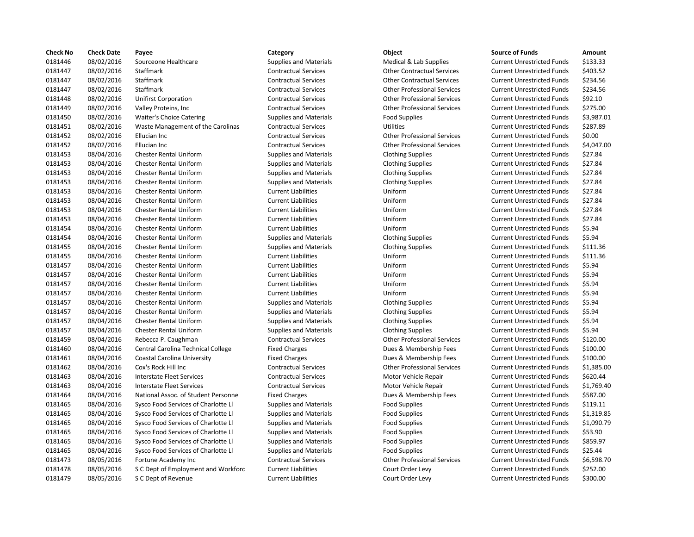| <b>Check No</b> | <b>Check Date</b> | Payee                               | Category                      | Object                             | <b>Source of Funds</b>            | Amount    |
|-----------------|-------------------|-------------------------------------|-------------------------------|------------------------------------|-----------------------------------|-----------|
| 0181446         | 08/02/2016        | Sourceone Healthcare                | <b>Supplies and Materials</b> | Medical & Lab Supplies             | <b>Current Unrestricted Funds</b> | \$133.33  |
| 0181447         | 08/02/2016        | <b>Staffmark</b>                    | <b>Contractual Services</b>   | <b>Other Contractual Services</b>  | <b>Current Unrestricted Funds</b> | \$403.52  |
| 0181447         | 08/02/2016        | Staffmark                           | <b>Contractual Services</b>   | <b>Other Contractual Services</b>  | <b>Current Unrestricted Funds</b> | \$234.56  |
| 0181447         | 08/02/2016        | Staffmark                           | <b>Contractual Services</b>   | <b>Other Professional Services</b> | <b>Current Unrestricted Funds</b> | \$234.56  |
| 0181448         | 08/02/2016        | <b>Unifirst Corporation</b>         | <b>Contractual Services</b>   | <b>Other Professional Services</b> | <b>Current Unrestricted Funds</b> | \$92.10   |
| 0181449         | 08/02/2016        | Valley Proteins, Inc                | <b>Contractual Services</b>   | <b>Other Professional Services</b> | <b>Current Unrestricted Funds</b> | \$275.00  |
| 0181450         | 08/02/2016        | <b>Waiter's Choice Catering</b>     | <b>Supplies and Materials</b> | <b>Food Supplies</b>               | <b>Current Unrestricted Funds</b> | \$3,987.0 |
| 0181451         | 08/02/2016        | Waste Management of the Carolinas   | <b>Contractual Services</b>   | <b>Utilities</b>                   | <b>Current Unrestricted Funds</b> | \$287.89  |
| 0181452         | 08/02/2016        | Ellucian Inc                        | <b>Contractual Services</b>   | <b>Other Professional Services</b> | <b>Current Unrestricted Funds</b> | \$0.00    |
| 0181452         | 08/02/2016        | Ellucian Inc                        | <b>Contractual Services</b>   | <b>Other Professional Services</b> | <b>Current Unrestricted Funds</b> | \$4,047.0 |
| 0181453         | 08/04/2016        | Chester Rental Uniform              | <b>Supplies and Materials</b> | <b>Clothing Supplies</b>           | <b>Current Unrestricted Funds</b> | \$27.84   |
| 0181453         | 08/04/2016        | <b>Chester Rental Uniform</b>       | <b>Supplies and Materials</b> | <b>Clothing Supplies</b>           | <b>Current Unrestricted Funds</b> | \$27.84   |
| 0181453         | 08/04/2016        | <b>Chester Rental Uniform</b>       | <b>Supplies and Materials</b> | <b>Clothing Supplies</b>           | <b>Current Unrestricted Funds</b> | \$27.84   |
| 0181453         | 08/04/2016        | <b>Chester Rental Uniform</b>       | <b>Supplies and Materials</b> | <b>Clothing Supplies</b>           | <b>Current Unrestricted Funds</b> | \$27.84   |
| 0181453         | 08/04/2016        | <b>Chester Rental Uniform</b>       | <b>Current Liabilities</b>    | Uniform                            | <b>Current Unrestricted Funds</b> | \$27.84   |
| 0181453         | 08/04/2016        | <b>Chester Rental Uniform</b>       | <b>Current Liabilities</b>    | Uniform                            | <b>Current Unrestricted Funds</b> | \$27.84   |
| 0181453         | 08/04/2016        | <b>Chester Rental Uniform</b>       | <b>Current Liabilities</b>    | Uniform                            | <b>Current Unrestricted Funds</b> | \$27.84   |
| 0181453         | 08/04/2016        | <b>Chester Rental Uniform</b>       | <b>Current Liabilities</b>    | Uniform                            | <b>Current Unrestricted Funds</b> | \$27.84   |
| 0181454         | 08/04/2016        | <b>Chester Rental Uniform</b>       | <b>Current Liabilities</b>    | Uniform                            | <b>Current Unrestricted Funds</b> | \$5.94    |
| 0181454         | 08/04/2016        | <b>Chester Rental Uniform</b>       | <b>Supplies and Materials</b> | <b>Clothing Supplies</b>           | <b>Current Unrestricted Funds</b> | \$5.94    |
| 0181455         | 08/04/2016        | <b>Chester Rental Uniform</b>       | <b>Supplies and Materials</b> | <b>Clothing Supplies</b>           | <b>Current Unrestricted Funds</b> | \$111.36  |
| 0181455         | 08/04/2016        | <b>Chester Rental Uniform</b>       | <b>Current Liabilities</b>    | Uniform                            | <b>Current Unrestricted Funds</b> | \$111.36  |
| 0181457         | 08/04/2016        | <b>Chester Rental Uniform</b>       | <b>Current Liabilities</b>    | Uniform                            | <b>Current Unrestricted Funds</b> | \$5.94    |
| 0181457         | 08/04/2016        | <b>Chester Rental Uniform</b>       | <b>Current Liabilities</b>    | Uniform                            | <b>Current Unrestricted Funds</b> | \$5.94    |
| 0181457         | 08/04/2016        | <b>Chester Rental Uniform</b>       | <b>Current Liabilities</b>    | Uniform                            | <b>Current Unrestricted Funds</b> | \$5.94    |
| 0181457         | 08/04/2016        | <b>Chester Rental Uniform</b>       | <b>Current Liabilities</b>    | Uniform                            | <b>Current Unrestricted Funds</b> | \$5.94    |
| 0181457         | 08/04/2016        | <b>Chester Rental Uniform</b>       | <b>Supplies and Materials</b> | <b>Clothing Supplies</b>           | <b>Current Unrestricted Funds</b> | \$5.94    |
| 0181457         | 08/04/2016        | <b>Chester Rental Uniform</b>       | <b>Supplies and Materials</b> | <b>Clothing Supplies</b>           | <b>Current Unrestricted Funds</b> | \$5.94    |
| 0181457         | 08/04/2016        | <b>Chester Rental Uniform</b>       | <b>Supplies and Materials</b> | <b>Clothing Supplies</b>           | <b>Current Unrestricted Funds</b> | \$5.94    |
| 0181457         | 08/04/2016        | <b>Chester Rental Uniform</b>       | <b>Supplies and Materials</b> | <b>Clothing Supplies</b>           | <b>Current Unrestricted Funds</b> | \$5.94    |
| 0181459         | 08/04/2016        | Rebecca P. Caughman                 | <b>Contractual Services</b>   | <b>Other Professional Services</b> | <b>Current Unrestricted Funds</b> | \$120.00  |
| 0181460         | 08/04/2016        | Central Carolina Technical College  | <b>Fixed Charges</b>          | Dues & Membership Fees             | <b>Current Unrestricted Funds</b> | \$100.00  |
| 0181461         | 08/04/2016        | Coastal Carolina University         | <b>Fixed Charges</b>          | Dues & Membership Fees             | <b>Current Unrestricted Funds</b> | \$100.00  |
| 0181462         | 08/04/2016        | Cox's Rock Hill Inc                 | <b>Contractual Services</b>   | <b>Other Professional Services</b> | <b>Current Unrestricted Funds</b> | \$1,385.0 |
| 0181463         | 08/04/2016        | <b>Interstate Fleet Services</b>    | <b>Contractual Services</b>   | Motor Vehicle Repair               | <b>Current Unrestricted Funds</b> | \$620.44  |
| 0181463         | 08/04/2016        | <b>Interstate Fleet Services</b>    | <b>Contractual Services</b>   | Motor Vehicle Repair               | <b>Current Unrestricted Funds</b> | \$1,769.4 |
| 0181464         | 08/04/2016        | National Assoc. of Student Personne | <b>Fixed Charges</b>          | Dues & Membership Fees             | <b>Current Unrestricted Funds</b> | \$587.00  |
| 0181465         | 08/04/2016        | Sysco Food Services of Charlotte Ll | <b>Supplies and Materials</b> | <b>Food Supplies</b>               | <b>Current Unrestricted Funds</b> | \$119.11  |
| 0181465         | 08/04/2016        | Sysco Food Services of Charlotte Ll | <b>Supplies and Materials</b> | <b>Food Supplies</b>               | <b>Current Unrestricted Funds</b> | \$1,319.8 |
| 0181465         | 08/04/2016        | Sysco Food Services of Charlotte Ll | <b>Supplies and Materials</b> | <b>Food Supplies</b>               | <b>Current Unrestricted Funds</b> | \$1,090.7 |
| 0181465         | 08/04/2016        | Sysco Food Services of Charlotte Ll | <b>Supplies and Materials</b> | <b>Food Supplies</b>               | <b>Current Unrestricted Funds</b> | \$53.90   |
| 0181465         | 08/04/2016        | Sysco Food Services of Charlotte Ll | <b>Supplies and Materials</b> | <b>Food Supplies</b>               | <b>Current Unrestricted Funds</b> | \$859.97  |
| 0181465         | 08/04/2016        | Sysco Food Services of Charlotte Ll | <b>Supplies and Materials</b> | <b>Food Supplies</b>               | <b>Current Unrestricted Funds</b> | \$25.44   |
| 0181473         | 08/05/2016        | Fortune Academy Inc                 | <b>Contractual Services</b>   | <b>Other Professional Services</b> | <b>Current Unrestricted Funds</b> | \$6,598.7 |
| 0181478         | 08/05/2016        | S C Dept of Employment and Workforc | <b>Current Liabilities</b>    | Court Order Levy                   | <b>Current Unrestricted Funds</b> | \$252.00  |
| 0181479         | 08/05/2016        | S C Dept of Revenue                 | <b>Current Liabilities</b>    | Court Order Levy                   | Current Unrestricted Funds        | \$300.00  |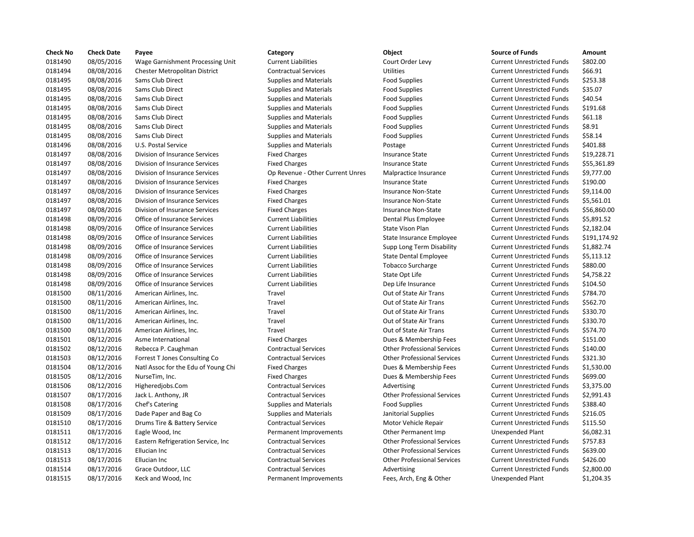| <b>Check No</b> | <b>Check Date</b> | Payee                               | Category                         | Object                             | <b>Source of Funds</b>            | Amount    |
|-----------------|-------------------|-------------------------------------|----------------------------------|------------------------------------|-----------------------------------|-----------|
| 0181490         | 08/05/2016        | Wage Garnishment Processing Unit    | <b>Current Liabilities</b>       | Court Order Levy                   | <b>Current Unrestricted Funds</b> | \$802.00  |
| 0181494         | 08/08/2016        | Chester Metropolitan District       | <b>Contractual Services</b>      | <b>Utilities</b>                   | <b>Current Unrestricted Funds</b> | \$66.91   |
| 0181495         | 08/08/2016        | Sams Club Direct                    | <b>Supplies and Materials</b>    | <b>Food Supplies</b>               | <b>Current Unrestricted Funds</b> | \$253.38  |
| 0181495         | 08/08/2016        | Sams Club Direct                    | <b>Supplies and Materials</b>    | <b>Food Supplies</b>               | <b>Current Unrestricted Funds</b> | \$35.07   |
| 0181495         | 08/08/2016        | Sams Club Direct                    | <b>Supplies and Materials</b>    | <b>Food Supplies</b>               | <b>Current Unrestricted Funds</b> | \$40.54   |
| 0181495         | 08/08/2016        | <b>Sams Club Direct</b>             | <b>Supplies and Materials</b>    | <b>Food Supplies</b>               | <b>Current Unrestricted Funds</b> | \$191.68  |
| 0181495         | 08/08/2016        | Sams Club Direct                    | <b>Supplies and Materials</b>    | <b>Food Supplies</b>               | <b>Current Unrestricted Funds</b> | \$61.18   |
| 0181495         | 08/08/2016        | Sams Club Direct                    | <b>Supplies and Materials</b>    | <b>Food Supplies</b>               | <b>Current Unrestricted Funds</b> | \$8.91    |
| 0181495         | 08/08/2016        | <b>Sams Club Direct</b>             | <b>Supplies and Materials</b>    | <b>Food Supplies</b>               | <b>Current Unrestricted Funds</b> | \$58.14   |
| 0181496         | 08/08/2016        | U.S. Postal Service                 | <b>Supplies and Materials</b>    | Postage                            | <b>Current Unrestricted Funds</b> | \$401.88  |
| 0181497         | 08/08/2016        | Division of Insurance Services      | <b>Fixed Charges</b>             | <b>Insurance State</b>             | <b>Current Unrestricted Funds</b> | \$19,228  |
| 0181497         | 08/08/2016        | Division of Insurance Services      | <b>Fixed Charges</b>             | <b>Insurance State</b>             | <b>Current Unrestricted Funds</b> | \$55,361  |
| 0181497         | 08/08/2016        | Division of Insurance Services      | Op Revenue - Other Current Unres | Malpractice Insurance              | <b>Current Unrestricted Funds</b> | \$9,777.0 |
| 0181497         | 08/08/2016        | Division of Insurance Services      | <b>Fixed Charges</b>             | <b>Insurance State</b>             | <b>Current Unrestricted Funds</b> | \$190.00  |
| 0181497         | 08/08/2016        | Division of Insurance Services      | <b>Fixed Charges</b>             | Insurance Non-State                | <b>Current Unrestricted Funds</b> | \$9,114.0 |
| 0181497         | 08/08/2016        | Division of Insurance Services      | <b>Fixed Charges</b>             | <b>Insurance Non-State</b>         | <b>Current Unrestricted Funds</b> | \$5,561.0 |
| 0181497         | 08/08/2016        | Division of Insurance Services      | <b>Fixed Charges</b>             | <b>Insurance Non-State</b>         | <b>Current Unrestricted Funds</b> | \$56,860  |
| 0181498         | 08/09/2016        | Office of Insurance Services        | <b>Current Liabilities</b>       | Dental Plus Employee               | <b>Current Unrestricted Funds</b> | \$5,891.5 |
| 0181498         | 08/09/2016        | Office of Insurance Services        | <b>Current Liabilities</b>       | State Vison Plan                   | <b>Current Unrestricted Funds</b> | \$2,182.0 |
| 0181498         | 08/09/2016        | Office of Insurance Services        | <b>Current Liabilities</b>       | State Insurance Employee           | <b>Current Unrestricted Funds</b> | \$191,17  |
| 0181498         | 08/09/2016        | Office of Insurance Services        | <b>Current Liabilities</b>       | Supp Long Term Disability          | <b>Current Unrestricted Funds</b> | \$1,882.7 |
| 0181498         | 08/09/2016        | Office of Insurance Services        | <b>Current Liabilities</b>       | State Dental Employee              | <b>Current Unrestricted Funds</b> | \$5,113.1 |
| 0181498         | 08/09/2016        | Office of Insurance Services        | <b>Current Liabilities</b>       | <b>Tobacco Surcharge</b>           | <b>Current Unrestricted Funds</b> | \$880.00  |
| 0181498         | 08/09/2016        | Office of Insurance Services        | <b>Current Liabilities</b>       | State Opt Life                     | <b>Current Unrestricted Funds</b> | \$4,758.2 |
| 0181498         | 08/09/2016        | Office of Insurance Services        | <b>Current Liabilities</b>       | Dep Life Insurance                 | <b>Current Unrestricted Funds</b> | \$104.50  |
| 0181500         | 08/11/2016        | American Airlines, Inc.             | Travel                           | Out of State Air Trans             | <b>Current Unrestricted Funds</b> | \$784.70  |
| 0181500         | 08/11/2016        | American Airlines, Inc.             | Travel                           | Out of State Air Trans             | <b>Current Unrestricted Funds</b> | \$562.70  |
| 0181500         | 08/11/2016        | American Airlines, Inc.             | Travel                           | Out of State Air Trans             | <b>Current Unrestricted Funds</b> | \$330.70  |
| 0181500         | 08/11/2016        | American Airlines, Inc.             | Travel                           | Out of State Air Trans             | <b>Current Unrestricted Funds</b> | \$330.70  |
| 0181500         | 08/11/2016        | American Airlines, Inc.             | Travel                           | Out of State Air Trans             | <b>Current Unrestricted Funds</b> | \$574.70  |
| 0181501         | 08/12/2016        | Asme International                  | <b>Fixed Charges</b>             | Dues & Membership Fees             | <b>Current Unrestricted Funds</b> | \$151.00  |
| 0181502         | 08/12/2016        | Rebecca P. Caughman                 | <b>Contractual Services</b>      | <b>Other Professional Services</b> | <b>Current Unrestricted Funds</b> | \$140.00  |
| 0181503         | 08/12/2016        | Forrest T Jones Consulting Co       | <b>Contractual Services</b>      | <b>Other Professional Services</b> | <b>Current Unrestricted Funds</b> | \$321.30  |
| 0181504         | 08/12/2016        | Natl Assoc for the Edu of Young Chi | <b>Fixed Charges</b>             | Dues & Membership Fees             | <b>Current Unrestricted Funds</b> | \$1,530.0 |
| 0181505         | 08/12/2016        | NurseTim, Inc.                      | <b>Fixed Charges</b>             | Dues & Membership Fees             | <b>Current Unrestricted Funds</b> | \$699.00  |
| 0181506         | 08/12/2016        | Higheredjobs.Com                    | <b>Contractual Services</b>      | Advertising                        | <b>Current Unrestricted Funds</b> | \$3,375.0 |
| 0181507         | 08/17/2016        | Jack L. Anthony, JR                 | <b>Contractual Services</b>      | <b>Other Professional Services</b> | <b>Current Unrestricted Funds</b> | \$2,991.4 |
| 0181508         | 08/17/2016        | Chef's Catering                     | <b>Supplies and Materials</b>    | <b>Food Supplies</b>               | <b>Current Unrestricted Funds</b> | \$388.40  |
| 0181509         | 08/17/2016        | Dade Paper and Bag Co               | <b>Supplies and Materials</b>    | Janitorial Supplies                | <b>Current Unrestricted Funds</b> | \$216.05  |
| 0181510         | 08/17/2016        | Drums Tire & Battery Service        | <b>Contractual Services</b>      | Motor Vehicle Repair               | <b>Current Unrestricted Funds</b> | \$115.50  |
| 0181511         | 08/17/2016        | Eagle Wood, Inc.                    | Permanent Improvements           | Other Permanent Imp                | Unexpended Plant                  | \$6,082.3 |
| 0181512         | 08/17/2016        | Eastern Refrigeration Service, Inc  | <b>Contractual Services</b>      | <b>Other Professional Services</b> | <b>Current Unrestricted Funds</b> | \$757.83  |
| 0181513         | 08/17/2016        | Ellucian Inc                        | <b>Contractual Services</b>      | <b>Other Professional Services</b> | <b>Current Unrestricted Funds</b> | \$639.00  |
| 0181513         | 08/17/2016        | Ellucian Inc                        | <b>Contractual Services</b>      | <b>Other Professional Services</b> | <b>Current Unrestricted Funds</b> | \$426.00  |
| 0181514         | 08/17/2016        | Grace Outdoor, LLC                  | <b>Contractual Services</b>      | Advertising                        | <b>Current Unrestricted Funds</b> | \$2,800.0 |
| 0181515         | 08/17/2016        | Keck and Wood, Inc                  | Permanent Improvements           | Fees, Arch, Eng & Other            | Unexpended Plant                  | \$1,204.3 |

# Contractual Services **Contractual Services** Utilities Current Unrestricted Funds \$66.91 Supplies and Materials **Supplies** Food Supplies **Current Unrestricted Funds** \$253.38 0181495 08/08/2016 Sams Club Direct Supplies and Materials Food Supplies Current Unrestricted Funds \$35.07 Supplies and Materials **Supplies Food Supplies** Current Unrestricted Funds \$40.54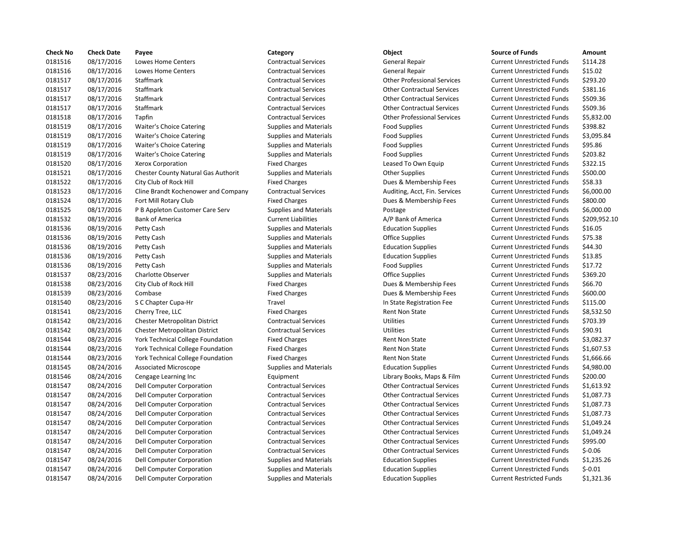| <b>Check No</b> | <b>Check Date</b> | Payee                                      | Category                      | Object                             | <b>Source of Funds</b>            | Amount    |
|-----------------|-------------------|--------------------------------------------|-------------------------------|------------------------------------|-----------------------------------|-----------|
| 0181516         | 08/17/2016        | Lowes Home Centers                         | <b>Contractual Services</b>   | General Repair                     | <b>Current Unrestricted Funds</b> | \$114.28  |
| 0181516         | 08/17/2016        | Lowes Home Centers                         | <b>Contractual Services</b>   | General Repair                     | <b>Current Unrestricted Funds</b> | \$15.02   |
| 0181517         | 08/17/2016        | Staffmark                                  | <b>Contractual Services</b>   | <b>Other Professional Services</b> | <b>Current Unrestricted Funds</b> | \$293.20  |
| 0181517         | 08/17/2016        | Staffmark                                  | <b>Contractual Services</b>   | <b>Other Contractual Services</b>  | <b>Current Unrestricted Funds</b> | \$381.16  |
| 0181517         | 08/17/2016        | Staffmark                                  | <b>Contractual Services</b>   | <b>Other Contractual Services</b>  | <b>Current Unrestricted Funds</b> | \$509.36  |
| 0181517         | 08/17/2016        | Staffmark                                  | <b>Contractual Services</b>   | <b>Other Contractual Services</b>  | <b>Current Unrestricted Funds</b> | \$509.36  |
| 0181518         | 08/17/2016        | Tapfin                                     | <b>Contractual Services</b>   | <b>Other Professional Services</b> | <b>Current Unrestricted Funds</b> | \$5,832.0 |
| 0181519         | 08/17/2016        | <b>Waiter's Choice Catering</b>            | <b>Supplies and Materials</b> | <b>Food Supplies</b>               | <b>Current Unrestricted Funds</b> | \$398.82  |
| 0181519         | 08/17/2016        | <b>Waiter's Choice Catering</b>            | <b>Supplies and Materials</b> | <b>Food Supplies</b>               | <b>Current Unrestricted Funds</b> | \$3,095.8 |
| 0181519         | 08/17/2016        | <b>Waiter's Choice Catering</b>            | <b>Supplies and Materials</b> | <b>Food Supplies</b>               | <b>Current Unrestricted Funds</b> | \$95.86   |
| 0181519         | 08/17/2016        | Waiter's Choice Catering                   | <b>Supplies and Materials</b> | Food Supplies                      | <b>Current Unrestricted Funds</b> | \$203.82  |
| 0181520         | 08/17/2016        | Xerox Corporation                          | <b>Fixed Charges</b>          | Leased To Own Equip                | <b>Current Unrestricted Funds</b> | \$322.15  |
| 0181521         | 08/17/2016        | <b>Chester County Natural Gas Authorit</b> | <b>Supplies and Materials</b> | <b>Other Supplies</b>              | <b>Current Unrestricted Funds</b> | \$500.00  |
| 0181522         | 08/17/2016        | City Club of Rock Hill                     | <b>Fixed Charges</b>          | Dues & Membership Fees             | <b>Current Unrestricted Funds</b> | \$58.33   |
| 0181523         | 08/17/2016        | Cline Brandt Kochenower and Company        | <b>Contractual Services</b>   | Auditing, Acct, Fin. Services      | <b>Current Unrestricted Funds</b> | \$6,000.0 |
| 0181524         | 08/17/2016        | Fort Mill Rotary Club                      | <b>Fixed Charges</b>          | Dues & Membership Fees             | <b>Current Unrestricted Funds</b> | \$800.00  |
| 0181525         | 08/17/2016        | P B Appleton Customer Care Serv            | <b>Supplies and Materials</b> | Postage                            | <b>Current Unrestricted Funds</b> | \$6,000.0 |
| 0181532         | 08/19/2016        | <b>Bank of America</b>                     | <b>Current Liabilities</b>    | A/P Bank of America                | <b>Current Unrestricted Funds</b> | \$209,95  |
| 0181536         | 08/19/2016        | Petty Cash                                 | <b>Supplies and Materials</b> | <b>Education Supplies</b>          | <b>Current Unrestricted Funds</b> | \$16.05   |
| 0181536         | 08/19/2016        | Petty Cash                                 | <b>Supplies and Materials</b> | <b>Office Supplies</b>             | <b>Current Unrestricted Funds</b> | \$75.38   |
| 0181536         | 08/19/2016        | Petty Cash                                 | <b>Supplies and Materials</b> | <b>Education Supplies</b>          | <b>Current Unrestricted Funds</b> | \$44.30   |
| 0181536         | 08/19/2016        | Petty Cash                                 | <b>Supplies and Materials</b> | <b>Education Supplies</b>          | <b>Current Unrestricted Funds</b> | \$13.85   |
| 0181536         | 08/19/2016        | Petty Cash                                 | <b>Supplies and Materials</b> | <b>Food Supplies</b>               | <b>Current Unrestricted Funds</b> | \$17.72   |
| 0181537         | 08/23/2016        | <b>Charlotte Observer</b>                  | <b>Supplies and Materials</b> | <b>Office Supplies</b>             | <b>Current Unrestricted Funds</b> | \$369.20  |
| 0181538         | 08/23/2016        | City Club of Rock Hill                     | <b>Fixed Charges</b>          | Dues & Membership Fees             | <b>Current Unrestricted Funds</b> | \$66.70   |
| 0181539         | 08/23/2016        | Combase                                    | <b>Fixed Charges</b>          | Dues & Membership Fees             | <b>Current Unrestricted Funds</b> | \$600.00  |
| 0181540         | 08/23/2016        | S C Chapter Cupa-Hr                        | Travel                        | In State Registration Fee          | <b>Current Unrestricted Funds</b> | \$115.00  |
| 0181541         | 08/23/2016        | Cherry Tree, LLC                           | <b>Fixed Charges</b>          | <b>Rent Non State</b>              | <b>Current Unrestricted Funds</b> | \$8,532.5 |
| 0181542         | 08/23/2016        | Chester Metropolitan District              | <b>Contractual Services</b>   | <b>Utilities</b>                   | <b>Current Unrestricted Funds</b> | \$703.39  |
| 0181542         | 08/23/2016        | <b>Chester Metropolitan District</b>       | <b>Contractual Services</b>   | <b>Utilities</b>                   | <b>Current Unrestricted Funds</b> | \$90.91   |
| 0181544         | 08/23/2016        | York Technical College Foundation          | <b>Fixed Charges</b>          | <b>Rent Non State</b>              | <b>Current Unrestricted Funds</b> | \$3,082.3 |
| 0181544         | 08/23/2016        | York Technical College Foundation          | <b>Fixed Charges</b>          | <b>Rent Non State</b>              | <b>Current Unrestricted Funds</b> | \$1,607.5 |
| 0181544         | 08/23/2016        | York Technical College Foundation          | <b>Fixed Charges</b>          | <b>Rent Non State</b>              | <b>Current Unrestricted Funds</b> | \$1,666.6 |
| 0181545         | 08/24/2016        | Associated Microscope                      | <b>Supplies and Materials</b> | <b>Education Supplies</b>          | <b>Current Unrestricted Funds</b> | \$4,980.0 |
| 0181546         | 08/24/2016        | Cengage Learning Inc                       | Equipment                     | Library Books, Maps & Film         | <b>Current Unrestricted Funds</b> | \$200.00  |
| 0181547         | 08/24/2016        | Dell Computer Corporation                  | <b>Contractual Services</b>   | <b>Other Contractual Services</b>  | <b>Current Unrestricted Funds</b> | \$1,613.9 |
| 0181547         | 08/24/2016        | Dell Computer Corporation                  | <b>Contractual Services</b>   | <b>Other Contractual Services</b>  | <b>Current Unrestricted Funds</b> | \$1,087.7 |
| 0181547         | 08/24/2016        | Dell Computer Corporation                  | <b>Contractual Services</b>   | <b>Other Contractual Services</b>  | <b>Current Unrestricted Funds</b> | \$1,087.7 |
| 0181547         | 08/24/2016        | Dell Computer Corporation                  | <b>Contractual Services</b>   | <b>Other Contractual Services</b>  | <b>Current Unrestricted Funds</b> | \$1,087.7 |
| 0181547         | 08/24/2016        | Dell Computer Corporation                  | <b>Contractual Services</b>   | <b>Other Contractual Services</b>  | <b>Current Unrestricted Funds</b> | \$1,049.2 |
| 0181547         | 08/24/2016        | Dell Computer Corporation                  | <b>Contractual Services</b>   | <b>Other Contractual Services</b>  | <b>Current Unrestricted Funds</b> | \$1,049.2 |
| 0181547         | 08/24/2016        | Dell Computer Corporation                  | <b>Contractual Services</b>   | <b>Other Contractual Services</b>  | <b>Current Unrestricted Funds</b> | \$995.00  |
| 0181547         | 08/24/2016        | Dell Computer Corporation                  | <b>Contractual Services</b>   | <b>Other Contractual Services</b>  | <b>Current Unrestricted Funds</b> | $$-0.06$  |
| 0181547         | 08/24/2016        | Dell Computer Corporation                  | <b>Supplies and Materials</b> | <b>Education Supplies</b>          | <b>Current Unrestricted Funds</b> | \$1,235.2 |
| 0181547         | 08/24/2016        | Dell Computer Corporation                  | <b>Supplies and Materials</b> | <b>Education Supplies</b>          | <b>Current Unrestricted Funds</b> | $$-0.01$  |
| 0181547         | 08/24/2016        | Dell Computer Corporation                  | <b>Supplies and Materials</b> | <b>Education Supplies</b>          | <b>Current Restricted Funds</b>   | \$1,321.3 |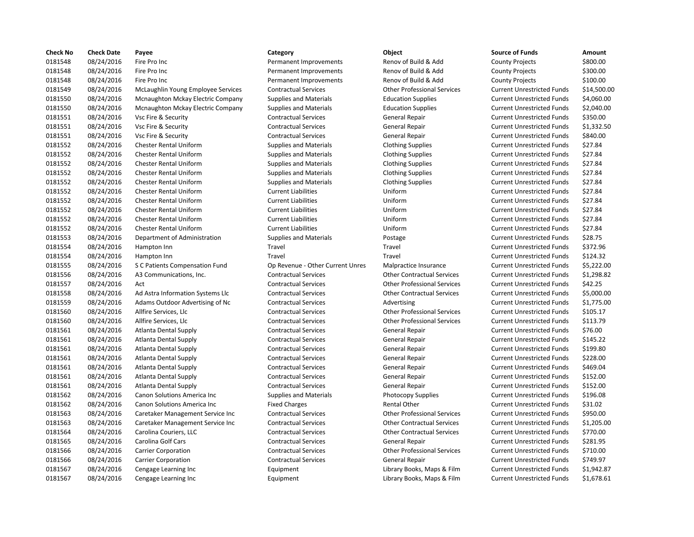| <b>Check No</b> | <b>Check Date</b> | Payee                              | Category                         | Object                             | <b>Source of Funds</b>            | Amount    |
|-----------------|-------------------|------------------------------------|----------------------------------|------------------------------------|-----------------------------------|-----------|
| 0181548         | 08/24/2016        | Fire Pro Inc                       | Permanent Improvements           | Renov of Build & Add               | <b>County Projects</b>            | \$800.00  |
| 0181548         | 08/24/2016        | Fire Pro Inc                       | Permanent Improvements           | Renov of Build & Add               | <b>County Projects</b>            | \$300.00  |
| 0181548         | 08/24/2016        | Fire Pro Inc                       | Permanent Improvements           | Renov of Build & Add               | <b>County Projects</b>            | \$100.00  |
| 0181549         | 08/24/2016        | McLaughlin Young Employee Services | <b>Contractual Services</b>      | <b>Other Professional Services</b> | <b>Current Unrestricted Funds</b> | \$14,500  |
| 0181550         | 08/24/2016        | Mcnaughton Mckay Electric Company  | <b>Supplies and Materials</b>    | <b>Education Supplies</b>          | <b>Current Unrestricted Funds</b> | \$4,060.0 |
| 0181550         | 08/24/2016        | Mcnaughton Mckay Electric Company  | <b>Supplies and Materials</b>    | <b>Education Supplies</b>          | <b>Current Unrestricted Funds</b> | \$2,040.0 |
| 0181551         | 08/24/2016        | Vsc Fire & Security                | <b>Contractual Services</b>      | General Repair                     | <b>Current Unrestricted Funds</b> | \$350.00  |
| 0181551         | 08/24/2016        | Vsc Fire & Security                | <b>Contractual Services</b>      | General Repair                     | <b>Current Unrestricted Funds</b> | \$1,332.5 |
| 0181551         | 08/24/2016        | Vsc Fire & Security                | <b>Contractual Services</b>      | General Repair                     | <b>Current Unrestricted Funds</b> | \$840.00  |
| 0181552         | 08/24/2016        | <b>Chester Rental Uniform</b>      | <b>Supplies and Materials</b>    | <b>Clothing Supplies</b>           | <b>Current Unrestricted Funds</b> | \$27.84   |
| 0181552         | 08/24/2016        | <b>Chester Rental Uniform</b>      | <b>Supplies and Materials</b>    | <b>Clothing Supplies</b>           | <b>Current Unrestricted Funds</b> | \$27.84   |
| 0181552         | 08/24/2016        | <b>Chester Rental Uniform</b>      | <b>Supplies and Materials</b>    | <b>Clothing Supplies</b>           | <b>Current Unrestricted Funds</b> | \$27.84   |
| 0181552         | 08/24/2016        | <b>Chester Rental Uniform</b>      | <b>Supplies and Materials</b>    | <b>Clothing Supplies</b>           | <b>Current Unrestricted Funds</b> | \$27.84   |
| 0181552         | 08/24/2016        | <b>Chester Rental Uniform</b>      | <b>Supplies and Materials</b>    | <b>Clothing Supplies</b>           | <b>Current Unrestricted Funds</b> | \$27.84   |
| 0181552         | 08/24/2016        | <b>Chester Rental Uniform</b>      | <b>Current Liabilities</b>       | Uniform                            | <b>Current Unrestricted Funds</b> | \$27.84   |
| 0181552         | 08/24/2016        | <b>Chester Rental Uniform</b>      | <b>Current Liabilities</b>       | Uniform                            | <b>Current Unrestricted Funds</b> | \$27.84   |
| 0181552         | 08/24/2016        | <b>Chester Rental Uniform</b>      | <b>Current Liabilities</b>       | Uniform                            | <b>Current Unrestricted Funds</b> | \$27.84   |
| 0181552         | 08/24/2016        | <b>Chester Rental Uniform</b>      | <b>Current Liabilities</b>       | Uniform                            | <b>Current Unrestricted Funds</b> | \$27.84   |
| 0181552         | 08/24/2016        | <b>Chester Rental Uniform</b>      | <b>Current Liabilities</b>       | Uniform                            | <b>Current Unrestricted Funds</b> | \$27.84   |
| 0181553         | 08/24/2016        | Department of Administration       | <b>Supplies and Materials</b>    | Postage                            | <b>Current Unrestricted Funds</b> | \$28.75   |
| 0181554         | 08/24/2016        | Hampton Inn                        | Travel                           | Travel                             | <b>Current Unrestricted Funds</b> | \$372.96  |
| 0181554         | 08/24/2016        | Hampton Inn                        | Travel                           | Travel                             | <b>Current Unrestricted Funds</b> | \$124.32  |
| 0181555         | 08/24/2016        | S C Patients Compensation Fund     | Op Revenue - Other Current Unres | Malpractice Insurance              | <b>Current Unrestricted Funds</b> | \$5,222.0 |
| 0181556         | 08/24/2016        | A3 Communications, Inc.            | <b>Contractual Services</b>      | <b>Other Contractual Services</b>  | <b>Current Unrestricted Funds</b> | \$1,298.8 |
| 0181557         | 08/24/2016        | Act                                | <b>Contractual Services</b>      | <b>Other Professional Services</b> | <b>Current Unrestricted Funds</b> | \$42.25   |
| 0181558         | 08/24/2016        | Ad Astra Information Systems Llc   | <b>Contractual Services</b>      | <b>Other Contractual Services</b>  | <b>Current Unrestricted Funds</b> | \$5,000.0 |
| 0181559         | 08/24/2016        | Adams Outdoor Advertising of Nc    | <b>Contractual Services</b>      | Advertising                        | <b>Current Unrestricted Funds</b> | \$1,775.0 |
| 0181560         | 08/24/2016        | Allfire Services, Llc              | <b>Contractual Services</b>      | <b>Other Professional Services</b> | <b>Current Unrestricted Funds</b> | \$105.17  |
| 0181560         | 08/24/2016        | Allfire Services, Llc              | <b>Contractual Services</b>      | <b>Other Professional Services</b> | <b>Current Unrestricted Funds</b> | \$113.79  |
| 0181561         | 08/24/2016        | Atlanta Dental Supply              | <b>Contractual Services</b>      | General Repair                     | <b>Current Unrestricted Funds</b> | \$76.00   |
| 0181561         | 08/24/2016        | <b>Atlanta Dental Supply</b>       | <b>Contractual Services</b>      | General Repair                     | <b>Current Unrestricted Funds</b> | \$145.22  |
| 0181561         | 08/24/2016        | <b>Atlanta Dental Supply</b>       | <b>Contractual Services</b>      | General Repair                     | <b>Current Unrestricted Funds</b> | \$199.80  |
| 0181561         | 08/24/2016        | <b>Atlanta Dental Supply</b>       | <b>Contractual Services</b>      | General Repair                     | <b>Current Unrestricted Funds</b> | \$228.00  |
| 0181561         | 08/24/2016        | <b>Atlanta Dental Supply</b>       | <b>Contractual Services</b>      | General Repair                     | <b>Current Unrestricted Funds</b> | \$469.04  |
| 0181561         | 08/24/2016        | Atlanta Dental Supply              | <b>Contractual Services</b>      | General Repair                     | <b>Current Unrestricted Funds</b> | \$152.00  |
| 0181561         | 08/24/2016        | Atlanta Dental Supply              | <b>Contractual Services</b>      | General Repair                     | <b>Current Unrestricted Funds</b> | \$152.00  |
| 0181562         | 08/24/2016        | Canon Solutions America Inc        | <b>Supplies and Materials</b>    | <b>Photocopy Supplies</b>          | <b>Current Unrestricted Funds</b> | \$196.08  |
| 0181562         | 08/24/2016        | Canon Solutions America Inc        | <b>Fixed Charges</b>             | Rental Other                       | <b>Current Unrestricted Funds</b> | \$31.02   |
| 0181563         | 08/24/2016        | Caretaker Management Service Inc   | <b>Contractual Services</b>      | <b>Other Professional Services</b> | <b>Current Unrestricted Funds</b> | \$950.00  |
| 0181563         | 08/24/2016        | Caretaker Management Service Inc   | <b>Contractual Services</b>      | <b>Other Contractual Services</b>  | <b>Current Unrestricted Funds</b> | \$1,205.0 |
| 0181564         | 08/24/2016        | Carolina Couriers, LLC             | <b>Contractual Services</b>      | <b>Other Contractual Services</b>  | <b>Current Unrestricted Funds</b> | \$770.00  |
| 0181565         | 08/24/2016        | Carolina Golf Cars                 | <b>Contractual Services</b>      | General Repair                     | <b>Current Unrestricted Funds</b> | \$281.95  |
| 0181566         | 08/24/2016        | <b>Carrier Corporation</b>         | <b>Contractual Services</b>      | <b>Other Professional Services</b> | <b>Current Unrestricted Funds</b> | \$710.00  |
| 0181566         | 08/24/2016        | <b>Carrier Corporation</b>         | <b>Contractual Services</b>      | General Repair                     | <b>Current Unrestricted Funds</b> | \$749.97  |
| 0181567         | 08/24/2016        | Cengage Learning Inc               | Equipment                        | Library Books, Maps & Film         | <b>Current Unrestricted Funds</b> | \$1,942.8 |
| 0181567         | 08/24/2016        | Cengage Learning Inc               | Equipment                        | Library Books, Maps & Film         | <b>Current Unrestricted Funds</b> | \$1,678.6 |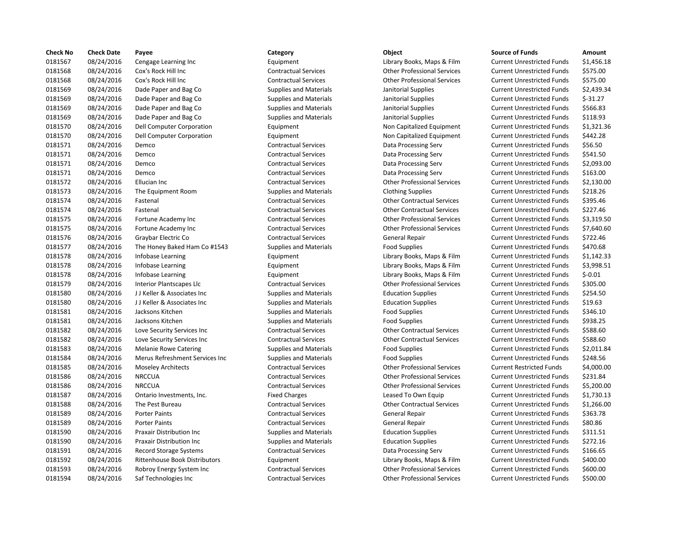| <b>Check No</b> | <b>Check Date</b> | Payee                                | Category                      | <b>Object</b>                      | <b>Source of Funds</b>            | Amount    |
|-----------------|-------------------|--------------------------------------|-------------------------------|------------------------------------|-----------------------------------|-----------|
| 0181567         | 08/24/2016        | Cengage Learning Inc                 | Equipment                     | Library Books, Maps & Film         | <b>Current Unrestricted Funds</b> | \$1,456.1 |
| 0181568         | 08/24/2016        | Cox's Rock Hill Inc                  | <b>Contractual Services</b>   | <b>Other Professional Services</b> | <b>Current Unrestricted Funds</b> | \$575.00  |
| 0181568         | 08/24/2016        | Cox's Rock Hill Inc                  | <b>Contractual Services</b>   | <b>Other Professional Services</b> | <b>Current Unrestricted Funds</b> | \$575.00  |
| 0181569         | 08/24/2016        | Dade Paper and Bag Co                | <b>Supplies and Materials</b> | Janitorial Supplies                | <b>Current Unrestricted Funds</b> | \$2,439.3 |
| 0181569         | 08/24/2016        | Dade Paper and Bag Co                | <b>Supplies and Materials</b> | Janitorial Supplies                | <b>Current Unrestricted Funds</b> | $$-31.27$ |
| 0181569         | 08/24/2016        | Dade Paper and Bag Co                | <b>Supplies and Materials</b> | Janitorial Supplies                | <b>Current Unrestricted Funds</b> | \$566.83  |
| 0181569         | 08/24/2016        | Dade Paper and Bag Co                | <b>Supplies and Materials</b> | Janitorial Supplies                | <b>Current Unrestricted Funds</b> | \$118.93  |
| 0181570         | 08/24/2016        | Dell Computer Corporation            | Equipment                     | Non Capitalized Equipment          | <b>Current Unrestricted Funds</b> | \$1,321.3 |
| 0181570         | 08/24/2016        | Dell Computer Corporation            | Equipment                     | Non Capitalized Equipment          | <b>Current Unrestricted Funds</b> | \$442.28  |
| 0181571         | 08/24/2016        | Demco                                | <b>Contractual Services</b>   | Data Processing Serv               | <b>Current Unrestricted Funds</b> | \$56.50   |
| 0181571         | 08/24/2016        | Demco                                | <b>Contractual Services</b>   | Data Processing Serv               | <b>Current Unrestricted Funds</b> | \$541.50  |
| 0181571         | 08/24/2016        | Demco                                | <b>Contractual Services</b>   | Data Processing Serv               | <b>Current Unrestricted Funds</b> | \$2,093.0 |
| 0181571         | 08/24/2016        | Demco                                | <b>Contractual Services</b>   | Data Processing Serv               | <b>Current Unrestricted Funds</b> | \$163.00  |
| 0181572         | 08/24/2016        | Ellucian Inc                         | <b>Contractual Services</b>   | <b>Other Professional Services</b> | <b>Current Unrestricted Funds</b> | \$2,130.0 |
| 0181573         | 08/24/2016        | The Equipment Room                   | <b>Supplies and Materials</b> | <b>Clothing Supplies</b>           | <b>Current Unrestricted Funds</b> | \$218.26  |
| 0181574         | 08/24/2016        | Fastenal                             | <b>Contractual Services</b>   | <b>Other Contractual Services</b>  | <b>Current Unrestricted Funds</b> | \$395.46  |
| 0181574         | 08/24/2016        | Fastenal                             | <b>Contractual Services</b>   | <b>Other Contractual Services</b>  | <b>Current Unrestricted Funds</b> | \$227.46  |
| 0181575         | 08/24/2016        | Fortune Academy Inc                  | <b>Contractual Services</b>   | <b>Other Professional Services</b> | <b>Current Unrestricted Funds</b> | \$3,319.5 |
| 0181575         | 08/24/2016        | Fortune Academy Inc                  | <b>Contractual Services</b>   | <b>Other Professional Services</b> | <b>Current Unrestricted Funds</b> | \$7,640.6 |
| 0181576         | 08/24/2016        | Graybar Electric Co                  | <b>Contractual Services</b>   | General Repair                     | <b>Current Unrestricted Funds</b> | \$722.46  |
| 0181577         | 08/24/2016        | The Honey Baked Ham Co #1543         | <b>Supplies and Materials</b> | <b>Food Supplies</b>               | <b>Current Unrestricted Funds</b> | \$470.68  |
| 0181578         | 08/24/2016        | Infobase Learning                    | Equipment                     | Library Books, Maps & Film         | <b>Current Unrestricted Funds</b> | \$1,142.3 |
| 0181578         | 08/24/2016        | Infobase Learning                    | Equipment                     | Library Books, Maps & Film         | <b>Current Unrestricted Funds</b> | \$3,998.5 |
| 0181578         | 08/24/2016        | Infobase Learning                    | Equipment                     | Library Books, Maps & Film         | <b>Current Unrestricted Funds</b> | $$-0.01$  |
| 0181579         | 08/24/2016        | Interior Plantscapes Llc             | <b>Contractual Services</b>   | <b>Other Professional Services</b> | <b>Current Unrestricted Funds</b> | \$305.00  |
| 0181580         | 08/24/2016        | JJ Keller & Associates Inc           | <b>Supplies and Materials</b> | <b>Education Supplies</b>          | <b>Current Unrestricted Funds</b> | \$254.50  |
| 0181580         | 08/24/2016        | JJ Keller & Associates Inc           | Supplies and Materials        | <b>Education Supplies</b>          | <b>Current Unrestricted Funds</b> | \$19.63   |
| 0181581         | 08/24/2016        | Jacksons Kitchen                     | <b>Supplies and Materials</b> | <b>Food Supplies</b>               | <b>Current Unrestricted Funds</b> | \$346.10  |
| 0181581         | 08/24/2016        | Jacksons Kitchen                     | <b>Supplies and Materials</b> | <b>Food Supplies</b>               | <b>Current Unrestricted Funds</b> | \$938.25  |
| 0181582         | 08/24/2016        | Love Security Services Inc           | <b>Contractual Services</b>   | <b>Other Contractual Services</b>  | <b>Current Unrestricted Funds</b> | \$588.60  |
| 0181582         | 08/24/2016        | Love Security Services Inc           | <b>Contractual Services</b>   | <b>Other Contractual Services</b>  | <b>Current Unrestricted Funds</b> | \$588.60  |
| 0181583         | 08/24/2016        | <b>Melanie Rowe Catering</b>         | <b>Supplies and Materials</b> | <b>Food Supplies</b>               | <b>Current Unrestricted Funds</b> | \$2,011.8 |
| 0181584         | 08/24/2016        | Merus Refreshment Services Inc       | <b>Supplies and Materials</b> | <b>Food Supplies</b>               | <b>Current Unrestricted Funds</b> | \$248.56  |
| 0181585         | 08/24/2016        | <b>Moseley Architects</b>            | <b>Contractual Services</b>   | <b>Other Professional Services</b> | <b>Current Restricted Funds</b>   | \$4,000.0 |
| 0181586         | 08/24/2016        | <b>NRCCUA</b>                        | <b>Contractual Services</b>   | <b>Other Professional Services</b> | <b>Current Unrestricted Funds</b> | \$231.84  |
| 0181586         | 08/24/2016        | <b>NRCCUA</b>                        | <b>Contractual Services</b>   | <b>Other Professional Services</b> | <b>Current Unrestricted Funds</b> | \$5,200.0 |
| 0181587         | 08/24/2016        | Ontario Investments, Inc.            | <b>Fixed Charges</b>          | Leased To Own Equip                | <b>Current Unrestricted Funds</b> | \$1,730.1 |
| 0181588         | 08/24/2016        | The Pest Bureau                      | <b>Contractual Services</b>   | <b>Other Contractual Services</b>  | <b>Current Unrestricted Funds</b> | \$1,266.0 |
| 0181589         | 08/24/2016        | <b>Porter Paints</b>                 | <b>Contractual Services</b>   | General Repair                     | <b>Current Unrestricted Funds</b> | \$363.78  |
| 0181589         | 08/24/2016        | <b>Porter Paints</b>                 | <b>Contractual Services</b>   | General Repair                     | <b>Current Unrestricted Funds</b> | \$80.86   |
| 0181590         | 08/24/2016        | <b>Praxair Distribution Inc</b>      | <b>Supplies and Materials</b> | <b>Education Supplies</b>          | <b>Current Unrestricted Funds</b> | \$311.51  |
| 0181590         | 08/24/2016        | <b>Praxair Distribution Inc</b>      | <b>Supplies and Materials</b> | <b>Education Supplies</b>          | <b>Current Unrestricted Funds</b> | \$272.16  |
| 0181591         | 08/24/2016        | Record Storage Systems               | <b>Contractual Services</b>   | Data Processing Serv               | <b>Current Unrestricted Funds</b> | \$166.65  |
| 0181592         | 08/24/2016        | <b>Rittenhouse Book Distributors</b> | Equipment                     | Library Books, Maps & Film         | <b>Current Unrestricted Funds</b> | \$400.00  |
| 0181593         | 08/24/2016        | Robroy Energy System Inc             | <b>Contractual Services</b>   | <b>Other Professional Services</b> | <b>Current Unrestricted Funds</b> | \$600.00  |
| 0181594         | 08/24/2016        | Saf Technologies Inc                 | <b>Contractual Services</b>   | <b>Other Professional Services</b> | <b>Current Unrestricted Funds</b> | \$500.00  |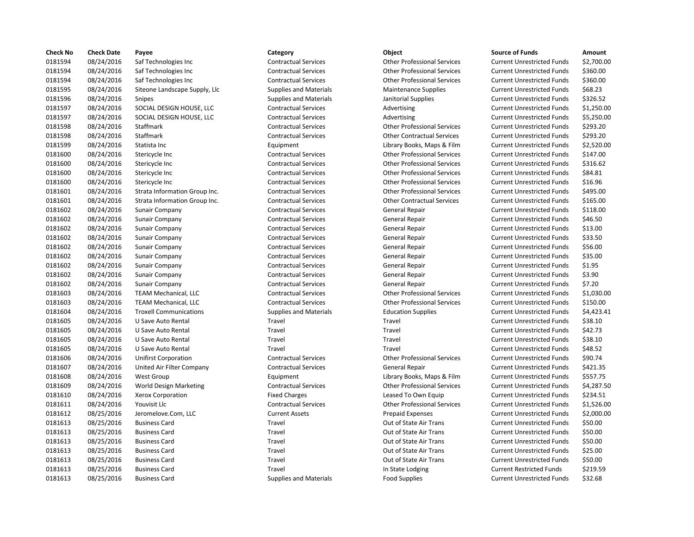| <b>Check No</b> | <b>Check Date</b> | Payee                         | Category                      | Object                             | <b>Source of Funds</b>            | Amount    |
|-----------------|-------------------|-------------------------------|-------------------------------|------------------------------------|-----------------------------------|-----------|
| 0181594         | 08/24/2016        | Saf Technologies Inc          | <b>Contractual Services</b>   | <b>Other Professional Services</b> | <b>Current Unrestricted Funds</b> | \$2,700.0 |
| 0181594         | 08/24/2016        | Saf Technologies Inc          | <b>Contractual Services</b>   | <b>Other Professional Services</b> | <b>Current Unrestricted Funds</b> | \$360.00  |
| 0181594         | 08/24/2016        | Saf Technologies Inc          | <b>Contractual Services</b>   | <b>Other Professional Services</b> | <b>Current Unrestricted Funds</b> | \$360.00  |
| 0181595         | 08/24/2016        | Siteone Landscape Supply, Llc | <b>Supplies and Materials</b> | <b>Maintenance Supplies</b>        | <b>Current Unrestricted Funds</b> | \$68.23   |
| 0181596         | 08/24/2016        | <b>Snipes</b>                 | <b>Supplies and Materials</b> | Janitorial Supplies                | <b>Current Unrestricted Funds</b> | \$326.52  |
| 0181597         | 08/24/2016        | SOCIAL DESIGN HOUSE, LLC      | <b>Contractual Services</b>   | Advertising                        | <b>Current Unrestricted Funds</b> | \$1,250.0 |
| 0181597         | 08/24/2016        | SOCIAL DESIGN HOUSE, LLC      | <b>Contractual Services</b>   | Advertising                        | <b>Current Unrestricted Funds</b> | \$5,250.0 |
| 0181598         | 08/24/2016        | Staffmark                     | <b>Contractual Services</b>   | <b>Other Professional Services</b> | <b>Current Unrestricted Funds</b> | \$293.20  |
| 0181598         | 08/24/2016        | Staffmark                     | <b>Contractual Services</b>   | <b>Other Contractual Services</b>  | <b>Current Unrestricted Funds</b> | \$293.20  |
| 0181599         | 08/24/2016        | Statista Inc                  | Equipment                     | Library Books, Maps & Film         | <b>Current Unrestricted Funds</b> | \$2,520.0 |
| 0181600         | 08/24/2016        | Stericycle Inc                | <b>Contractual Services</b>   | <b>Other Professional Services</b> | <b>Current Unrestricted Funds</b> | \$147.00  |
| 0181600         | 08/24/2016        | Stericycle Inc                | <b>Contractual Services</b>   | <b>Other Professional Services</b> | <b>Current Unrestricted Funds</b> | \$316.62  |
| 0181600         | 08/24/2016        | Stericycle Inc                | <b>Contractual Services</b>   | <b>Other Professional Services</b> | <b>Current Unrestricted Funds</b> | \$84.81   |
| 0181600         | 08/24/2016        | Stericycle Inc                | <b>Contractual Services</b>   | <b>Other Professional Services</b> | <b>Current Unrestricted Funds</b> | \$16.96   |
| 0181601         | 08/24/2016        | Strata Information Group Inc. | <b>Contractual Services</b>   | <b>Other Professional Services</b> | <b>Current Unrestricted Funds</b> | \$495.00  |
| 0181601         | 08/24/2016        | Strata Information Group Inc. | <b>Contractual Services</b>   | <b>Other Contractual Services</b>  | <b>Current Unrestricted Funds</b> | \$165.00  |
| 0181602         | 08/24/2016        | Sunair Company                | <b>Contractual Services</b>   | General Repair                     | <b>Current Unrestricted Funds</b> | \$118.00  |
| 0181602         | 08/24/2016        | <b>Sunair Company</b>         | <b>Contractual Services</b>   | General Repair                     | <b>Current Unrestricted Funds</b> | \$46.50   |
| 0181602         | 08/24/2016        | Sunair Company                | <b>Contractual Services</b>   | General Repair                     | <b>Current Unrestricted Funds</b> | \$13.00   |
| 0181602         | 08/24/2016        | Sunair Company                | <b>Contractual Services</b>   | General Repair                     | <b>Current Unrestricted Funds</b> | \$33.50   |
| 0181602         | 08/24/2016        | <b>Sunair Company</b>         | <b>Contractual Services</b>   | General Repair                     | <b>Current Unrestricted Funds</b> | \$56.00   |
| 0181602         | 08/24/2016        | Sunair Company                | <b>Contractual Services</b>   | General Repair                     | <b>Current Unrestricted Funds</b> | \$35.00   |
| 0181602         | 08/24/2016        | <b>Sunair Company</b>         | <b>Contractual Services</b>   | General Repair                     | <b>Current Unrestricted Funds</b> | \$1.95    |
| 0181602         | 08/24/2016        | <b>Sunair Company</b>         | <b>Contractual Services</b>   | General Repair                     | <b>Current Unrestricted Funds</b> | \$3.90    |
| 0181602         | 08/24/2016        | Sunair Company                | <b>Contractual Services</b>   | General Repair                     | <b>Current Unrestricted Funds</b> | \$7.20    |
| 0181603         | 08/24/2016        | <b>TEAM Mechanical, LLC</b>   | <b>Contractual Services</b>   | <b>Other Professional Services</b> | <b>Current Unrestricted Funds</b> | \$1,030.0 |
| 0181603         | 08/24/2016        | <b>TEAM Mechanical, LLC</b>   | <b>Contractual Services</b>   | <b>Other Professional Services</b> | <b>Current Unrestricted Funds</b> | \$150.00  |
| 0181604         | 08/24/2016        | <b>Troxell Communications</b> | <b>Supplies and Materials</b> | <b>Education Supplies</b>          | <b>Current Unrestricted Funds</b> | \$4,423.4 |
| 0181605         | 08/24/2016        | U Save Auto Rental            | Travel                        | Travel                             | <b>Current Unrestricted Funds</b> | \$38.10   |
| 0181605         | 08/24/2016        | U Save Auto Rental            | Travel                        | Travel                             | <b>Current Unrestricted Funds</b> | \$42.73   |
| 0181605         | 08/24/2016        | U Save Auto Rental            | Travel                        | Travel                             | <b>Current Unrestricted Funds</b> | \$38.10   |
| 0181605         | 08/24/2016        | U Save Auto Rental            | Travel                        | Travel                             | <b>Current Unrestricted Funds</b> | \$48.52   |
| 0181606         | 08/24/2016        | <b>Unifirst Corporation</b>   | <b>Contractual Services</b>   | <b>Other Professional Services</b> | <b>Current Unrestricted Funds</b> | \$90.74   |
| 0181607         | 08/24/2016        | United Air Filter Company     | <b>Contractual Services</b>   | General Repair                     | <b>Current Unrestricted Funds</b> | \$421.35  |
| 0181608         | 08/24/2016        | <b>West Group</b>             | Equipment                     | Library Books, Maps & Film         | <b>Current Unrestricted Funds</b> | \$557.75  |
| 0181609         | 08/24/2016        | World Design Marketing        | <b>Contractual Services</b>   | <b>Other Professional Services</b> | <b>Current Unrestricted Funds</b> | \$4,287.5 |
| 0181610         | 08/24/2016        | Xerox Corporation             | <b>Fixed Charges</b>          | Leased To Own Equip                | <b>Current Unrestricted Funds</b> | \$234.51  |
| 0181611         | 08/24/2016        | Youvisit Llc                  | <b>Contractual Services</b>   | <b>Other Professional Services</b> | <b>Current Unrestricted Funds</b> | \$1,526.0 |
| 0181612         | 08/25/2016        | Jeromelove.Com, LLC           | <b>Current Assets</b>         | <b>Prepaid Expenses</b>            | <b>Current Unrestricted Funds</b> | \$2,000.0 |
| 0181613         | 08/25/2016        | <b>Business Card</b>          | Travel                        | Out of State Air Trans             | <b>Current Unrestricted Funds</b> | \$50.00   |
| 0181613         | 08/25/2016        | <b>Business Card</b>          | Travel                        | Out of State Air Trans             | <b>Current Unrestricted Funds</b> | \$50.00   |
| 0181613         | 08/25/2016        | <b>Business Card</b>          | Travel                        | Out of State Air Trans             | <b>Current Unrestricted Funds</b> | \$50.00   |
| 0181613         | 08/25/2016        | <b>Business Card</b>          | Travel                        | Out of State Air Trans             | <b>Current Unrestricted Funds</b> | \$25.00   |
| 0181613         | 08/25/2016        | <b>Business Card</b>          | Travel                        | Out of State Air Trans             | <b>Current Unrestricted Funds</b> | \$50.00   |
| 0181613         | 08/25/2016        | <b>Business Card</b>          | Travel                        | In State Lodging                   | <b>Current Restricted Funds</b>   | \$219.59  |
| 0181613         | 08/25/2016        | <b>Business Card</b>          | <b>Supplies and Materials</b> | <b>Food Supplies</b>               | <b>Current Unrestricted Funds</b> | \$32.68   |

## 08/24/2016 Saf Technologies Inc Contractual Services Other Professional Services Current Unrestricted Funds \$2,700.00 08/24/2016 Saf Technologies Inc Contractual Services Other Professional Services Current Unrestricted Funds \$360.00 08/24/2016 Saf Technologies Inc Contractual Services Other Professional Services Current Unrestricted Funds \$360.00 Supplies and Materials **Supplies Current Unrestricted Funds** 568.23 08/24/2016 Snipes Supplies and Materials Janitorial Supplies Current Unrestricted Funds \$326.52 Contractual Services **CONTER HOUSE, LACCIAL Advertising Current Unrestricted Funds** \$1,250.00 Contractual Services **CONTEN HOUSE, LACCIAL Advertising Current Unrestricted Funds** \$5,250.00 08/24/2016 Staffmark Contractual Services Other Professional Services Current Unrestricted Funds \$293.20 08/24/2016 Staffmark Contractual Services Other Contractual Services Current Unrestricted Funds \$293.20 Equipment Library Books, Maps & Film Current Unrestricted Funds \$2,520.00 08/24/2016 Stericycle Inc Contractual Services Other Professional Services Current Unrestricted Funds \$147.00 08/24/2016 Stericycle Inc Contractual Services Other Professional Services Current Unrestricted Funds \$316.62 Contractual Services **COLOCO CONTRO CONTROVER SERVICES** Current Unrestricted Funds \$84.81 08/24/2016 Stericycle Inc Contractual Services Other Professional Services Current Unrestricted Funds \$16.96 08/24/2016 Strata Information Group Inc. Contractual Services Other Professional Services Current Unrestricted Funds \$495.00 Contractual Services **Current Unrestricted Funds** Strategies Current Unrestricted Funds \$165.00 08/24/2016 Sunair Company Contractual Services General Repair Current Unrestricted Funds \$118.00 08/24/2016 Sunair Company Contractual Services General Repair Current Unrestricted Funds \$46.50 08/24/2016 Sunair Company Contractual Services General Repair Current Unrestricted Funds \$13.00 08/24/2016 Sunair Company Contractual Services General Repair Current Unrestricted Funds \$33.50 08/24/2016 Sunair Company Contractual Services General Repair Current Unrestricted Funds \$56.00 08/24/2016 Sunair Company Contractual Services General Repair Current Unrestricted Funds \$35.00 08/24/2016 Sunair Company Contractual Services General Repair Current Unrestricted Funds \$1.95 08/24/2016 Sunair Company Contractual Services General Repair Current Unrestricted Funds \$3.90 08/24/2016 Sunair Company Contractual Services General Repair Current Unrestricted Funds \$7.20 08/24/2016 TEAM Mechanical, LLC Contractual Services Other Professional Services Current Unrestricted Funds \$1,030.00 08/24/2016 TEAM Mechanical, LLC Contractual Services Other Professional Services Current Unrestricted Funds \$150.00 08/24/2016 Troxell Communications Supplies and Materials Education Supplies Current Unrestricted Funds \$4,423.41 Travel **1216** 1218 1218 1218 1224 1224 1236 1247 1236 1247 1236 1247 1236 1247 1236 1236 1236 1237 1238 1238 123 0181605 012161605 0181605 08/24/2016 177 17806 02016 Unrestricted Funds 542.73 Travel **Travel** Travel Travel Current Unrestricted Funds \$38.10 Travel **1218160** 10181605 08/24/2016 177 178 velocity Current Unrestricted Funds 548.52 08/24/2016 Unifirst Corporation Contractual Services Other Professional Services Current Unrestricted Funds \$90.74 08/24/2016 United Air Filter Company Contractual Services General Repair Current Unrestricted Funds \$421.35 08/24/2016 West Group Equipment Library Books, Maps & Film Current Unrestricted Funds \$557.75 08/24/2016 World Design Marketing Contractual Services Other Professional Services Current Unrestricted Funds \$4,287.50 Fixed Charges **1816** Leased To Own Equip Current Unrestricted Funds \$234.51 08/24/2016 Youvisit Llc Contractual Services Other Professional Services Current Unrestricted Funds \$1,526.00 08/25/2016 Jeromelove.Com, LLC Current Assets Prepaid Expenses Current Unrestricted Funds \$2,000.00 Travel **18.181612 Current Constant Current Unrestricted Funds** 550.00 Travel **18161 Cullets Constructs Current Unrestricted Funds** 550.00 Travel **18161 Cult of State Air Trans** Current Unrestricted Funds 550.00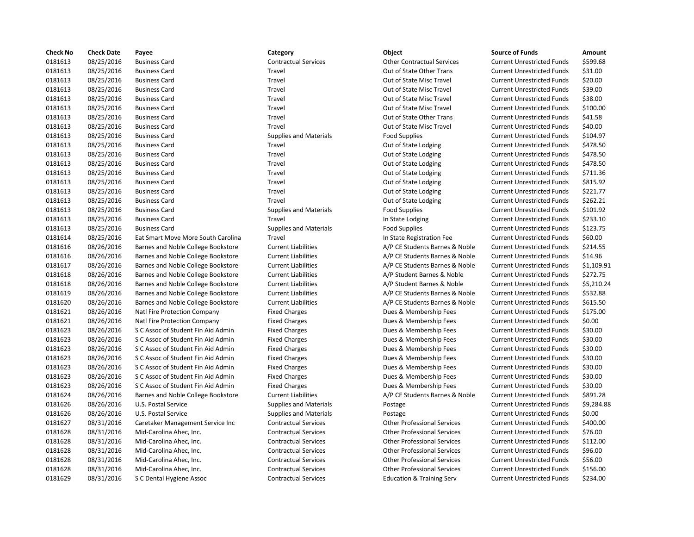| <b>Check No</b> | <b>Check Date</b> | Payee                              | Category                      | Object                               | <b>Source of Funds</b>            | Amount    |
|-----------------|-------------------|------------------------------------|-------------------------------|--------------------------------------|-----------------------------------|-----------|
| 0181613         | 08/25/2016        | <b>Business Card</b>               | <b>Contractual Services</b>   | <b>Other Contractual Services</b>    | <b>Current Unrestricted Funds</b> | \$599.68  |
| 0181613         | 08/25/2016        | <b>Business Card</b>               | Travel                        | Out of State Other Trans             | <b>Current Unrestricted Funds</b> | \$31.00   |
| 0181613         | 08/25/2016        | <b>Business Card</b>               | Travel                        | Out of State Misc Travel             | <b>Current Unrestricted Funds</b> | \$20.00   |
| 0181613         | 08/25/2016        | <b>Business Card</b>               | Travel                        | Out of State Misc Travel             | <b>Current Unrestricted Funds</b> | \$39.00   |
| 0181613         | 08/25/2016        | <b>Business Card</b>               | Travel                        | Out of State Misc Travel             | <b>Current Unrestricted Funds</b> | \$38.00   |
| 0181613         | 08/25/2016        | <b>Business Card</b>               | Travel                        | Out of State Misc Travel             | <b>Current Unrestricted Funds</b> | \$100.00  |
| 0181613         | 08/25/2016        | <b>Business Card</b>               | Travel                        | Out of State Other Trans             | <b>Current Unrestricted Funds</b> | \$41.58   |
| 0181613         | 08/25/2016        | <b>Business Card</b>               | Travel                        | Out of State Misc Travel             | <b>Current Unrestricted Funds</b> | \$40.00   |
| 0181613         | 08/25/2016        | <b>Business Card</b>               | <b>Supplies and Materials</b> | <b>Food Supplies</b>                 | <b>Current Unrestricted Funds</b> | \$104.97  |
| 0181613         | 08/25/2016        | <b>Business Card</b>               | Travel                        | Out of State Lodging                 | <b>Current Unrestricted Funds</b> | \$478.50  |
| 0181613         | 08/25/2016        | <b>Business Card</b>               | Travel                        | Out of State Lodging                 | <b>Current Unrestricted Funds</b> | \$478.50  |
| 0181613         | 08/25/2016        | <b>Business Card</b>               | Travel                        | Out of State Lodging                 | <b>Current Unrestricted Funds</b> | \$478.50  |
| 0181613         | 08/25/2016        | <b>Business Card</b>               | Travel                        | Out of State Lodging                 | <b>Current Unrestricted Funds</b> | \$711.36  |
| 0181613         | 08/25/2016        | <b>Business Card</b>               | Travel                        | Out of State Lodging                 | <b>Current Unrestricted Funds</b> | \$815.92  |
| 0181613         | 08/25/2016        | <b>Business Card</b>               | Travel                        | Out of State Lodging                 | <b>Current Unrestricted Funds</b> | \$221.77  |
| 0181613         | 08/25/2016        | <b>Business Card</b>               | Travel                        | Out of State Lodging                 | <b>Current Unrestricted Funds</b> | \$262.21  |
| 0181613         | 08/25/2016        | <b>Business Card</b>               | <b>Supplies and Materials</b> | <b>Food Supplies</b>                 | <b>Current Unrestricted Funds</b> | \$101.92  |
| 0181613         | 08/25/2016        | <b>Business Card</b>               | Travel                        | In State Lodging                     | <b>Current Unrestricted Funds</b> | \$233.10  |
| 0181613         | 08/25/2016        | <b>Business Card</b>               | <b>Supplies and Materials</b> | <b>Food Supplies</b>                 | <b>Current Unrestricted Funds</b> | \$123.75  |
| 0181614         | 08/25/2016        | Eat Smart Move More South Carolina | Travel                        | In State Registration Fee            | <b>Current Unrestricted Funds</b> | \$60.00   |
| 0181616         | 08/26/2016        | Barnes and Noble College Bookstore | <b>Current Liabilities</b>    | A/P CE Students Barnes & Noble       | <b>Current Unrestricted Funds</b> | \$214.55  |
| 0181616         | 08/26/2016        | Barnes and Noble College Bookstore | <b>Current Liabilities</b>    | A/P CE Students Barnes & Noble       | <b>Current Unrestricted Funds</b> | \$14.96   |
| 0181617         | 08/26/2016        | Barnes and Noble College Bookstore | <b>Current Liabilities</b>    | A/P CE Students Barnes & Noble       | <b>Current Unrestricted Funds</b> | \$1,109.9 |
| 0181618         | 08/26/2016        | Barnes and Noble College Bookstore | <b>Current Liabilities</b>    | A/P Student Barnes & Noble           | <b>Current Unrestricted Funds</b> | \$272.75  |
| 0181618         | 08/26/2016        | Barnes and Noble College Bookstore | <b>Current Liabilities</b>    | A/P Student Barnes & Noble           | <b>Current Unrestricted Funds</b> | \$5,210.2 |
| 0181619         | 08/26/2016        | Barnes and Noble College Bookstore | <b>Current Liabilities</b>    | A/P CE Students Barnes & Noble       | <b>Current Unrestricted Funds</b> | \$532.88  |
| 0181620         | 08/26/2016        | Barnes and Noble College Bookstore | <b>Current Liabilities</b>    | A/P CE Students Barnes & Noble       | <b>Current Unrestricted Funds</b> | \$615.50  |
| 0181621         | 08/26/2016        | Natl Fire Protection Company       | <b>Fixed Charges</b>          | Dues & Membership Fees               | <b>Current Unrestricted Funds</b> | \$175.00  |
| 0181621         | 08/26/2016        | Natl Fire Protection Company       | <b>Fixed Charges</b>          | Dues & Membership Fees               | <b>Current Unrestricted Funds</b> | \$0.00    |
| 0181623         | 08/26/2016        | S C Assoc of Student Fin Aid Admin | <b>Fixed Charges</b>          | Dues & Membership Fees               | <b>Current Unrestricted Funds</b> | \$30.00   |
| 0181623         | 08/26/2016        | S C Assoc of Student Fin Aid Admin | <b>Fixed Charges</b>          | Dues & Membership Fees               | <b>Current Unrestricted Funds</b> | \$30.00   |
| 0181623         | 08/26/2016        | S C Assoc of Student Fin Aid Admin | <b>Fixed Charges</b>          | Dues & Membership Fees               | <b>Current Unrestricted Funds</b> | \$30.00   |
| 0181623         | 08/26/2016        | S C Assoc of Student Fin Aid Admin | <b>Fixed Charges</b>          | Dues & Membership Fees               | <b>Current Unrestricted Funds</b> | \$30.00   |
| 0181623         | 08/26/2016        | S C Assoc of Student Fin Aid Admin | <b>Fixed Charges</b>          | Dues & Membership Fees               | <b>Current Unrestricted Funds</b> | \$30.00   |
| 0181623         | 08/26/2016        | S C Assoc of Student Fin Aid Admin | <b>Fixed Charges</b>          | Dues & Membership Fees               | <b>Current Unrestricted Funds</b> | \$30.00   |
| 0181623         | 08/26/2016        | S C Assoc of Student Fin Aid Admin | <b>Fixed Charges</b>          | Dues & Membership Fees               | <b>Current Unrestricted Funds</b> | \$30.00   |
| 0181624         | 08/26/2016        | Barnes and Noble College Bookstore | <b>Current Liabilities</b>    | A/P CE Students Barnes & Noble       | <b>Current Unrestricted Funds</b> | \$891.28  |
| 0181626         | 08/26/2016        | U.S. Postal Service                | <b>Supplies and Materials</b> | Postage                              | <b>Current Unrestricted Funds</b> | \$9,284.8 |
| 0181626         | 08/26/2016        | U.S. Postal Service                | <b>Supplies and Materials</b> | Postage                              | <b>Current Unrestricted Funds</b> | \$0.00    |
| 0181627         | 08/31/2016        | Caretaker Management Service Inc   | <b>Contractual Services</b>   | <b>Other Professional Services</b>   | <b>Current Unrestricted Funds</b> | \$400.00  |
| 0181628         | 08/31/2016        | Mid-Carolina Ahec, Inc.            | <b>Contractual Services</b>   | <b>Other Professional Services</b>   | <b>Current Unrestricted Funds</b> | \$76.00   |
| 0181628         | 08/31/2016        | Mid-Carolina Ahec, Inc.            | <b>Contractual Services</b>   | <b>Other Professional Services</b>   | <b>Current Unrestricted Funds</b> | \$112.00  |
| 0181628         | 08/31/2016        | Mid-Carolina Ahec, Inc.            | <b>Contractual Services</b>   | <b>Other Professional Services</b>   | <b>Current Unrestricted Funds</b> | \$96.00   |
| 0181628         | 08/31/2016        | Mid-Carolina Ahec, Inc.            | <b>Contractual Services</b>   | <b>Other Professional Services</b>   | <b>Current Unrestricted Funds</b> | \$56.00   |
| 0181628         | 08/31/2016        | Mid-Carolina Ahec, Inc.            | <b>Contractual Services</b>   | <b>Other Professional Services</b>   | <b>Current Unrestricted Funds</b> | \$156.00  |
| 0181629         | 08/31/2016        | S C Dental Hygiene Assoc           | <b>Contractual Services</b>   | <b>Education &amp; Training Serv</b> | <b>Current Unrestricted Funds</b> | \$234.00  |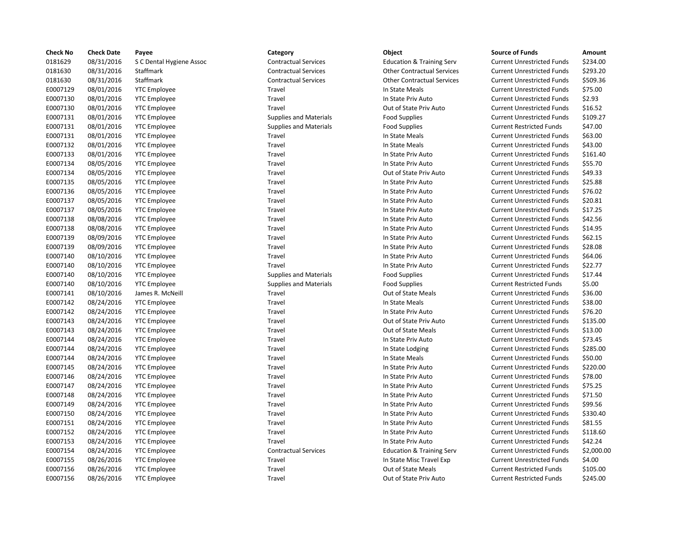| <b>Check No</b> | <b>Check Date</b> | Payee                    | Category                      | Object                               | <b>Source of Funds</b>            | Amount    |
|-----------------|-------------------|--------------------------|-------------------------------|--------------------------------------|-----------------------------------|-----------|
| 0181629         | 08/31/2016        | S C Dental Hygiene Assoc | <b>Contractual Services</b>   | <b>Education &amp; Training Serv</b> | <b>Current Unrestricted Funds</b> | \$234.00  |
| 0181630         | 08/31/2016        | Staffmark                | <b>Contractual Services</b>   | <b>Other Contractual Services</b>    | <b>Current Unrestricted Funds</b> | \$293.20  |
| 0181630         | 08/31/2016        | Staffmark                | <b>Contractual Services</b>   | <b>Other Contractual Services</b>    | <b>Current Unrestricted Funds</b> | \$509.36  |
| E0007129        | 08/01/2016        | <b>YTC Employee</b>      | Travel                        | In State Meals                       | <b>Current Unrestricted Funds</b> | \$75.00   |
| E0007130        | 08/01/2016        | <b>YTC Employee</b>      | Travel                        | In State Priv Auto                   | <b>Current Unrestricted Funds</b> | \$2.93    |
| E0007130        | 08/01/2016        | <b>YTC</b> Employee      | Travel                        | Out of State Priv Auto               | <b>Current Unrestricted Funds</b> | \$16.52   |
| E0007131        | 08/01/2016        | <b>YTC Employee</b>      | <b>Supplies and Materials</b> | <b>Food Supplies</b>                 | <b>Current Unrestricted Funds</b> | \$109.27  |
| E0007131        | 08/01/2016        | <b>YTC</b> Employee      | <b>Supplies and Materials</b> | <b>Food Supplies</b>                 | <b>Current Restricted Funds</b>   | \$47.00   |
| E0007131        | 08/01/2016        | <b>YTC Employee</b>      | Travel                        | In State Meals                       | <b>Current Unrestricted Funds</b> | \$63.00   |
| E0007132        | 08/01/2016        | <b>YTC Employee</b>      | Travel                        | In State Meals                       | <b>Current Unrestricted Funds</b> | \$43.00   |
| E0007133        | 08/01/2016        | <b>YTC Employee</b>      | Travel                        | In State Priv Auto                   | <b>Current Unrestricted Funds</b> | \$161.40  |
| E0007134        | 08/05/2016        | <b>YTC Employee</b>      | Travel                        | In State Priv Auto                   | <b>Current Unrestricted Funds</b> | \$55.70   |
| E0007134        | 08/05/2016        | <b>YTC</b> Employee      | Travel                        | Out of State Priv Auto               | <b>Current Unrestricted Funds</b> | \$49.33   |
| E0007135        | 08/05/2016        | <b>YTC Employee</b>      | Travel                        | In State Priv Auto                   | <b>Current Unrestricted Funds</b> | \$25.88   |
| E0007136        | 08/05/2016        | <b>YTC Employee</b>      | Travel                        | In State Priv Auto                   | <b>Current Unrestricted Funds</b> | \$76.02   |
| E0007137        | 08/05/2016        | <b>YTC Employee</b>      | Travel                        | In State Priv Auto                   | <b>Current Unrestricted Funds</b> | \$20.81   |
| E0007137        | 08/05/2016        | <b>YTC Employee</b>      | Travel                        | In State Priv Auto                   | <b>Current Unrestricted Funds</b> | \$17.25   |
| E0007138        | 08/08/2016        | <b>YTC Employee</b>      | Travel                        | In State Priv Auto                   | <b>Current Unrestricted Funds</b> | \$42.56   |
| E0007138        | 08/08/2016        | <b>YTC Employee</b>      | Travel                        | In State Priv Auto                   | <b>Current Unrestricted Funds</b> | \$14.95   |
| E0007139        | 08/09/2016        | <b>YTC Employee</b>      | Travel                        | In State Priv Auto                   | <b>Current Unrestricted Funds</b> | \$62.15   |
| E0007139        | 08/09/2016        | <b>YTC Employee</b>      | Travel                        | In State Priv Auto                   | <b>Current Unrestricted Funds</b> | \$28.08   |
| E0007140        | 08/10/2016        | <b>YTC</b> Employee      | Travel                        | In State Priv Auto                   | <b>Current Unrestricted Funds</b> | \$64.06   |
| E0007140        | 08/10/2016        | <b>YTC Employee</b>      | Travel                        | In State Priv Auto                   | <b>Current Unrestricted Funds</b> | \$22.77   |
| E0007140        | 08/10/2016        | <b>YTC Employee</b>      | <b>Supplies and Materials</b> | <b>Food Supplies</b>                 | <b>Current Unrestricted Funds</b> | \$17.44   |
| E0007140        | 08/10/2016        | <b>YTC Employee</b>      | <b>Supplies and Materials</b> | <b>Food Supplies</b>                 | <b>Current Restricted Funds</b>   | \$5.00    |
| E0007141        | 08/10/2016        | James R. McNeill         | Travel                        | Out of State Meals                   | <b>Current Unrestricted Funds</b> | \$36.00   |
| E0007142        | 08/24/2016        | <b>YTC</b> Employee      | Travel                        | In State Meals                       | <b>Current Unrestricted Funds</b> | \$38.00   |
| E0007142        | 08/24/2016        | <b>YTC Employee</b>      | Travel                        | In State Priv Auto                   | <b>Current Unrestricted Funds</b> | \$76.20   |
| E0007143        | 08/24/2016        | <b>YTC Employee</b>      | Travel                        | Out of State Priv Auto               | <b>Current Unrestricted Funds</b> | \$135.00  |
| E0007143        | 08/24/2016        | <b>YTC Employee</b>      | Travel                        | Out of State Meals                   | <b>Current Unrestricted Funds</b> | \$13.00   |
| E0007144        | 08/24/2016        | <b>YTC Employee</b>      | Travel                        | In State Priv Auto                   | <b>Current Unrestricted Funds</b> | \$73.45   |
| E0007144        | 08/24/2016        | <b>YTC Employee</b>      | Travel                        | In State Lodging                     | <b>Current Unrestricted Funds</b> | \$285.00  |
| E0007144        | 08/24/2016        | <b>YTC Employee</b>      | Travel                        | In State Meals                       | <b>Current Unrestricted Funds</b> | \$50.00   |
| E0007145        | 08/24/2016        | <b>YTC Employee</b>      | Travel                        | In State Priv Auto                   | <b>Current Unrestricted Funds</b> | \$220.00  |
| E0007146        | 08/24/2016        | <b>YTC Employee</b>      | Travel                        | In State Priv Auto                   | <b>Current Unrestricted Funds</b> | \$78.00   |
| E0007147        | 08/24/2016        | <b>YTC</b> Employee      | Travel                        | In State Priv Auto                   | <b>Current Unrestricted Funds</b> | \$75.25   |
| E0007148        | 08/24/2016        | <b>YTC Employee</b>      | Travel                        | In State Priv Auto                   | <b>Current Unrestricted Funds</b> | \$71.50   |
| E0007149        | 08/24/2016        | <b>YTC Employee</b>      | Travel                        | In State Priv Auto                   | <b>Current Unrestricted Funds</b> | \$99.56   |
| E0007150        | 08/24/2016        | <b>YTC</b> Employee      | Travel                        | In State Priv Auto                   | <b>Current Unrestricted Funds</b> | \$330.40  |
| E0007151        | 08/24/2016        | <b>YTC Employee</b>      | Travel                        | In State Priv Auto                   | <b>Current Unrestricted Funds</b> | \$81.55   |
| E0007152        | 08/24/2016        | <b>YTC</b> Employee      | Travel                        | In State Priv Auto                   | <b>Current Unrestricted Funds</b> | \$118.60  |
| E0007153        | 08/24/2016        | <b>YTC Employee</b>      | Travel                        | In State Priv Auto                   | <b>Current Unrestricted Funds</b> | \$42.24   |
| E0007154        | 08/24/2016        | <b>YTC Employee</b>      | <b>Contractual Services</b>   | <b>Education &amp; Training Serv</b> | <b>Current Unrestricted Funds</b> | \$2,000.0 |
| E0007155        | 08/26/2016        | <b>YTC Employee</b>      | Travel                        | In State Misc Travel Exp             | <b>Current Unrestricted Funds</b> | \$4.00    |
| E0007156        | 08/26/2016        | <b>YTC Employee</b>      | Travel                        | Out of State Meals                   | <b>Current Restricted Funds</b>   | \$105.00  |
| E0007156        | 08/26/2016        | <b>YTC Employee</b>      | Travel                        | Out of State Priv Auto               | <b>Current Restricted Funds</b>   | \$245.00  |

# 0181630 08/31/2016 Staffmark Contractual Services Other Contractual Services Current Unrestricted Funds \$509.36 Travel **EXECUTE:** In State Meals Current Unrestricted Funds \$75.00 Travel **End and State Priv Auto** In State Priv Auto Current Unrestricted Funds \$2.93 Travel **EXECUTE:** Out of State Priv Auto Current Unrestricted Funds \$16.52 Supplies and Materials **Food Supplies Current Unrestricted Funds** \$109.27 E000 Supplies and Materials Food Supplies Current Restricted Funds \$47.00 E0007131 08/01/2016 YTC Employee Travel In State Meals Current Unrestricted Funds \$63.00 Travel **EXECURDE IN State Meals** In State Meals Current Unrestricted Funds \$43.00 Travel **End and State Priv Auto** Current Unrestricted Funds \$161.40 E0007134 08/05/2016 YTC Employee Travel In State Priv Auto Current Unrestricted Funds \$55.70 Travel **EXECUTE:** Out of State Priv Auto Current Unrestricted Funds \$49.33 E0007135 08/05/2016 YTC Employee Travel In State Priv Auto Current Unrestricted Funds \$25.88 Travel **EXECUTE:** In State Priv Auto **Current Unrestricted Funds** \$76.02 Travel Travel Current University Current Unrestricted Funds \$20.81 Travel **EXECUTE:** In State Priv Auto **Current Unrestricted Funds** \$17.25 E0007138 08/08/2016 YTC Employee Travel In State Priv Auto Current Unrestricted Funds \$42.56 Travel **EXECUTE:** In State Priv Auto **Current Unrestricted Funds** \$14.95 E0007139 08/09/2016 YTC Employee Travel In State Priv Auto Current Unrestricted Funds \$62.15 E0007139 08/09/2016 YTC Employee Travel In State Priv Auto Current Unrestricted Funds \$28.08 Travel **EXECUTE:** In State Priv Auto **Current Unrestricted Funds** \$64.06 Travel **EXECUTE:** In State Priv Auto Current Unrestricted Funds \$22.77 Supplies and Materials **EDUX** Food Supplies Current Unrestricted Funds \$17.44 E000 Supplies and Materials The State of Supplies Current Restricted Funds 55.00 E0007141 08/10/2016 James R. McNeill Travel Out of State Meals Current Unrestricted Funds \$36.00 E0007142 08/24/2016 YTC Employee Travel In State Meals Current Unrestricted Funds \$38.00 E000712 1007142 1224 Travel In State Priv Auto Current Unrestricted Funds \$76.20 Travel **EXECONTE:** Out of State Priv Auto Current Unrestricted Funds \$135.00 Travel **EXECONTE:** Out of State Meals Current Unrestricted Funds \$13.00 E0007144 08/24/2016 YTC Employee Travel In State Priv Auto Current Unrestricted Funds \$73.45 Travel **End and State Lodging** Current Unrestricted Funds \$285.00 Travel **EXECUTE:** In State Meals Current Unrestricted Funds \$50.00 Travel **EXECUTE:** In State Priv Auto **Current Unrestricted Funds** \$220.00 Travel **EXECUTE:** In State Priv Auto **Current Unrestricted Funds** \$78.00 E0007147 08/24/2016 YTC Employee Travel In State Priv Auto Current Unrestricted Funds \$75.25 E0007148 08/24/2016 YTC Employee Travel In State Priv Auto Current Unrestricted Funds \$71.50 E0007149 08/24/2016 YTC Employee Travel In State Priv Auto Current Unrestricted Funds \$99.56 E0007150 08/24/2016 YTC Employee Travel In State Priv Auto Current Unrestricted Funds \$330.40 Travel **EXECONTE:** In State Priv Auto **Current Unrestricted Funds** \$81.55 Travel **End and State Priv Auto** In State Priv Auto Current Unrestricted Funds \$118.60 E0007153 08/24/2016 YTC Employee Travel In State Priv Auto Current Unrestricted Funds \$42.24 Contractual Services **Education & Training Serv** Current Unrestricted Funds \$2,000.00 Travel Travel Current University Current Unrestricted Funds 54.00 Travel **EXECONFIED CONFIDENT CONTENT CONFIDENT** Current Restricted Funds \$105.00